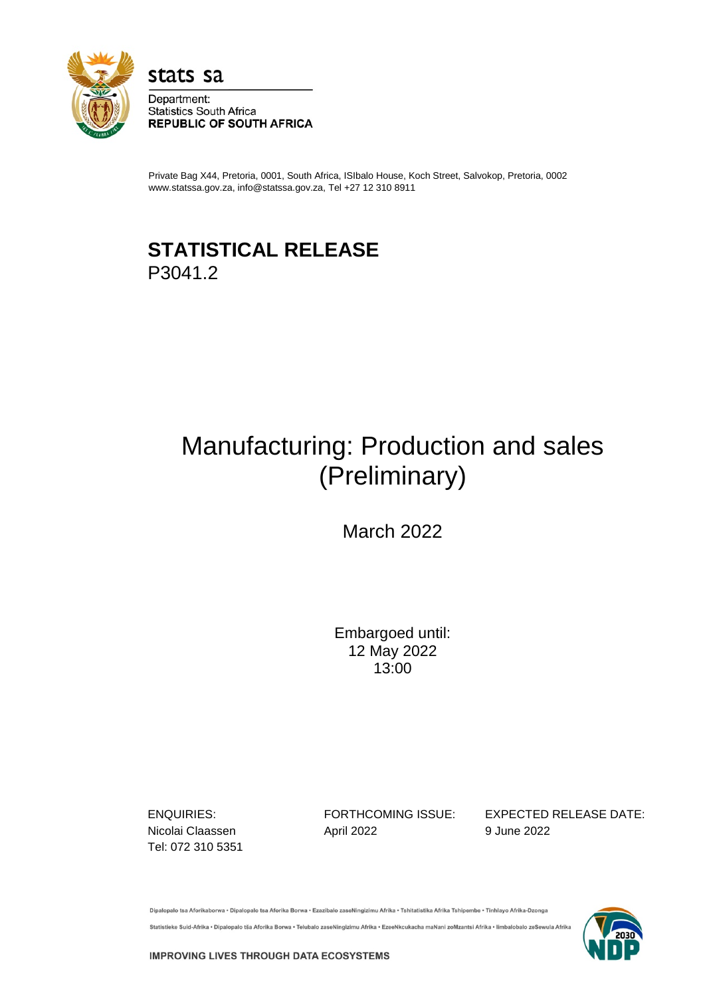

stats sa

Department: **Statistics South Africa REPUBLIC OF SOUTH AFRICA** 

Private Bag X44, Pretoria, 0001, South Africa, ISIbalo House, Koch Street, Salvokop, Pretoria, 0002 www.statssa.gov.za, info@statssa.gov.za, Tel +27 12 310 8911

# **STATISTICAL RELEASE** P3041.2

# Manufacturing: Production and sales (Preliminary)

March 2022

Embargoed until: 12 May 2022 13:00

Tel: 072 310 5351

Nicolai Claassen **April 2022** 9 June 2022

ENQUIRIES: FORTHCOMING ISSUE: EXPECTED RELEASE DATE:

Dipalopalo tsa Aforikaborwa . Dipalopalo tsa Aforika Borwa . Ezazibalo zaseNingizimu Afrika . Tshitatistika Afrika Tshipembe . Tinhlayo Afrika-Dzonga Statistieke Suid-Afrika • Dipalopalo tša Aforika Borwa • Telubalo zaseNingizimu Afrika • EzeeNkcukacha maNani zoMzantsi Afrika • limbalobalo zeSewula Afrika



**IMPROVING LIVES THROUGH DATA ECOSYSTEMS**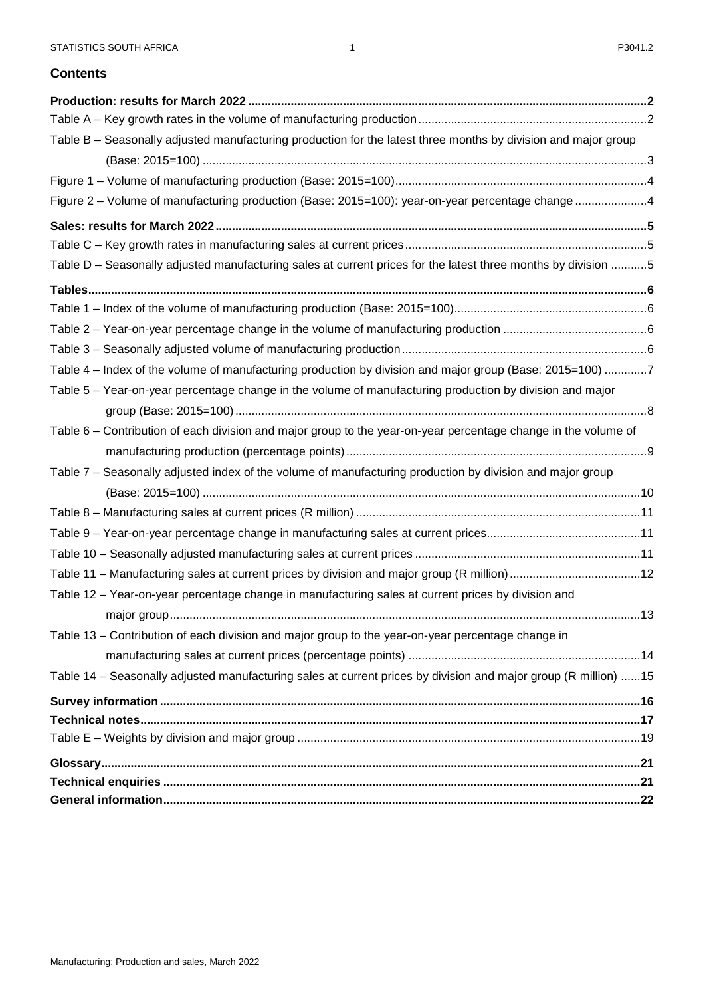### **Contents**

| Table B - Seasonally adjusted manufacturing production for the latest three months by division and major group  |  |
|-----------------------------------------------------------------------------------------------------------------|--|
|                                                                                                                 |  |
|                                                                                                                 |  |
| Figure 2 - Volume of manufacturing production (Base: 2015=100): year-on-year percentage change 4                |  |
|                                                                                                                 |  |
|                                                                                                                 |  |
| Table D - Seasonally adjusted manufacturing sales at current prices for the latest three months by division 5   |  |
|                                                                                                                 |  |
|                                                                                                                 |  |
|                                                                                                                 |  |
|                                                                                                                 |  |
| Table 4 – Index of the volume of manufacturing production by division and major group (Base: 2015=100) 7        |  |
| Table 5 – Year-on-year percentage change in the volume of manufacturing production by division and major        |  |
|                                                                                                                 |  |
| Table 6 – Contribution of each division and major group to the year-on-year percentage change in the volume of  |  |
|                                                                                                                 |  |
| Table 7 - Seasonally adjusted index of the volume of manufacturing production by division and major group       |  |
|                                                                                                                 |  |
|                                                                                                                 |  |
|                                                                                                                 |  |
|                                                                                                                 |  |
|                                                                                                                 |  |
| Table 12 - Year-on-year percentage change in manufacturing sales at current prices by division and              |  |
|                                                                                                                 |  |
| Table 13 – Contribution of each division and major group to the year-on-year percentage change in               |  |
|                                                                                                                 |  |
| Table 14 - Seasonally adjusted manufacturing sales at current prices by division and major group (R million) 15 |  |
|                                                                                                                 |  |
|                                                                                                                 |  |
|                                                                                                                 |  |
|                                                                                                                 |  |
|                                                                                                                 |  |
|                                                                                                                 |  |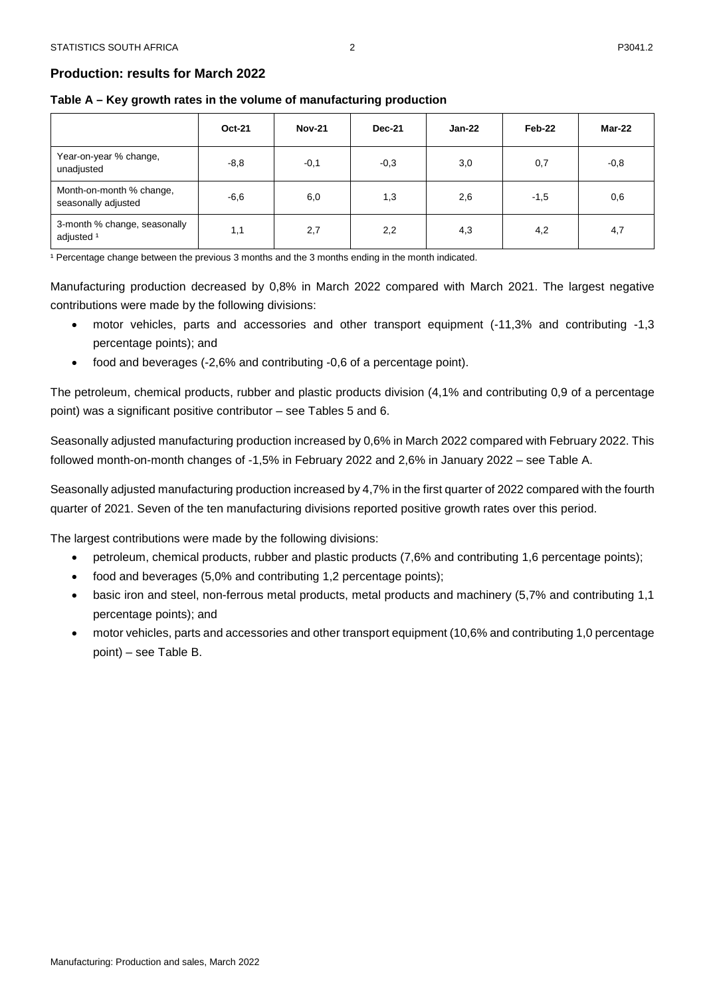# <span id="page-2-0"></span>**Production: results for March 2022**

<span id="page-2-1"></span>

| Table A – Key growth rates in the volume of manufacturing production |  |
|----------------------------------------------------------------------|--|
|----------------------------------------------------------------------|--|

|                                                       | <b>Oct-21</b> | <b>Nov-21</b> | <b>Dec-21</b> | Jan-22 | Feb-22 | Mar-22 |
|-------------------------------------------------------|---------------|---------------|---------------|--------|--------|--------|
| Year-on-year % change,<br>unadjusted                  | $-8,8$        | $-0,1$        | $-0,3$        | 3,0    | 0,7    | $-0,8$ |
| Month-on-month % change,<br>seasonally adjusted       | $-6,6$        | 6,0           | 1,3           | 2,6    | $-1,5$ | 0,6    |
| 3-month % change, seasonally<br>adjusted <sup>1</sup> | 1,1           | 2,7           | 2,2           | 4,3    | 4,2    | 4,7    |

2

<sup>1</sup> Percentage change between the previous 3 months and the 3 months ending in the month indicated.

Manufacturing production decreased by 0,8% in March 2022 compared with March 2021. The largest negative contributions were made by the following divisions:

- motor vehicles, parts and accessories and other transport equipment (-11,3% and contributing -1,3 percentage points); and
- food and beverages (-2,6% and contributing -0,6 of a percentage point).

The petroleum, chemical products, rubber and plastic products division (4,1% and contributing 0,9 of a percentage point) was a significant positive contributor – see Tables 5 and 6.

Seasonally adjusted manufacturing production increased by 0,6% in March 2022 compared with February 2022. This followed month-on-month changes of -1,5% in February 2022 and 2,6% in January 2022 – see Table A.

Seasonally adjusted manufacturing production increased by 4,7% in the first quarter of 2022 compared with the fourth quarter of 2021. Seven of the ten manufacturing divisions reported positive growth rates over this period.

The largest contributions were made by the following divisions:

- petroleum, chemical products, rubber and plastic products (7,6% and contributing 1,6 percentage points);
- food and beverages (5,0% and contributing 1,2 percentage points);
- basic iron and steel, non-ferrous metal products, metal products and machinery (5,7% and contributing 1,1 percentage points); and
- motor vehicles, parts and accessories and other transport equipment (10,6% and contributing 1,0 percentage point) – see Table B.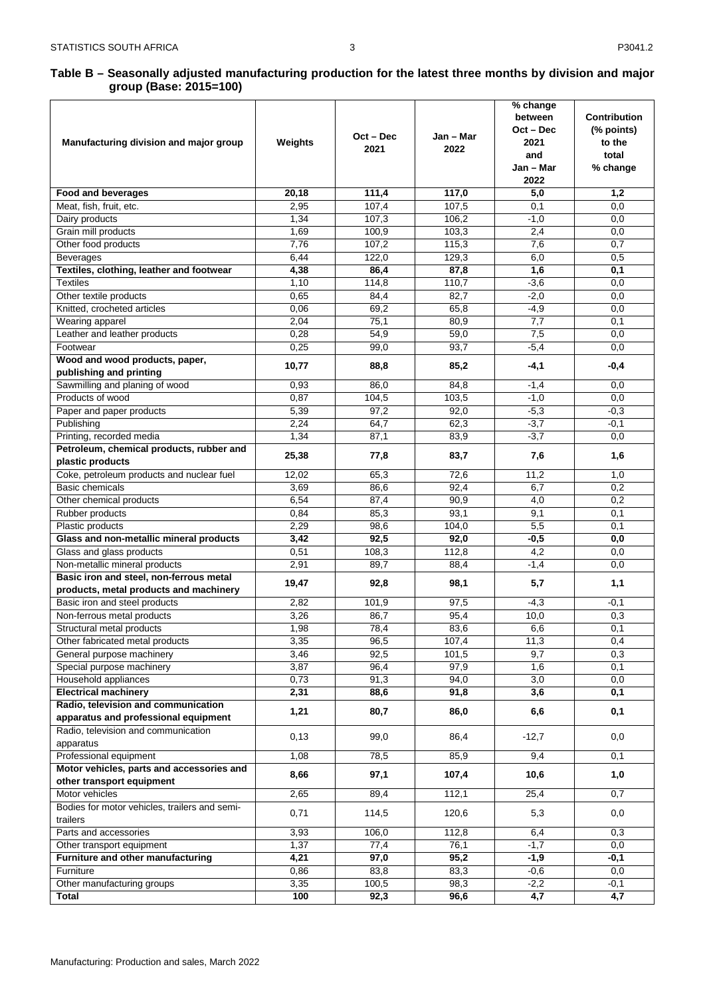#### <span id="page-3-0"></span>**Table B – Seasonally adjusted manufacturing production for the latest three months by division and major group (Base: 2015=100)**

| Manufacturing division and major group                                            | Weights | $Oct - Dec$<br>2021 | Jan – Mar<br>2022 | % change<br>between<br>$Oct - Dec$<br>2021<br>and<br>Jan – Mar<br>2022 | <b>Contribution</b><br>(% points)<br>to the<br>total<br>% change |
|-----------------------------------------------------------------------------------|---------|---------------------|-------------------|------------------------------------------------------------------------|------------------------------------------------------------------|
| Food and beverages                                                                | 20,18   | 111,4               | 117,0             | 5,0                                                                    | 1,2                                                              |
| Meat, fish, fruit, etc.                                                           | 2,95    | 107,4               | 107,5             | 0,1                                                                    | 0,0                                                              |
| Dairy products                                                                    | 1,34    | 107,3               | 106,2             | $-1,0$                                                                 | 0,0                                                              |
| Grain mill products                                                               | 1,69    | 100,9               | 103,3             | 2,4                                                                    | 0,0                                                              |
| Other food products                                                               | 7,76    | 107,2               | 115,3             | 7,6                                                                    | 0,7                                                              |
| <b>Beverages</b>                                                                  | 6,44    | 122,0               | 129,3             | 6,0                                                                    | 0,5                                                              |
| Textiles, clothing, leather and footwear                                          | 4,38    | 86,4                | 87,8              | 1,6                                                                    | 0,1                                                              |
| <b>Textiles</b>                                                                   | 1,10    | 114,8               | 110,7             | $-3,6$                                                                 | 0,0                                                              |
| Other textile products                                                            | 0.65    | 84,4                | 82,7              | $-2,0$                                                                 | 0,0                                                              |
| Knitted, crocheted articles                                                       | 0,06    | 69,2                | 65,8              | $-4,9$                                                                 | 0,0                                                              |
|                                                                                   | 2,04    | 75,1                | 80,9              | 7,7                                                                    | 0,1                                                              |
| Wearing apparel<br>Leather and leather products                                   | 0,28    | 54,9                | 59,0              |                                                                        | 0,0                                                              |
| Footwear                                                                          | 0,25    | 99,0                | 93,7              | 7,5<br>$-5,4$                                                          | 0,0                                                              |
| Wood and wood products, paper,                                                    |         |                     |                   |                                                                        |                                                                  |
| publishing and printing                                                           | 10,77   | 88,8                | 85,2              | $-4,1$                                                                 | $-0,4$                                                           |
| Sawmilling and planing of wood                                                    | 0.93    | 86,0                | 84,8              | $-1,4$                                                                 | 0,0                                                              |
| Products of wood                                                                  | 0,87    | 104,5               | 103,5             | $-1,0$                                                                 | 0,0                                                              |
| Paper and paper products                                                          | 5,39    | 97,2                | 92,0              | $-5,3$                                                                 | $-0,3$                                                           |
| Publishing                                                                        | 2,24    | 64,7                | 62,3              | $-3,7$                                                                 | $-0,1$                                                           |
| Printing, recorded media                                                          | 1,34    | 87,1                | 83,9              | $-3,7$                                                                 | 0,0                                                              |
| Petroleum, chemical products, rubber and<br>plastic products                      | 25,38   | 77,8                | 83,7              | 7,6                                                                    | 1,6                                                              |
| Coke, petroleum products and nuclear fuel                                         | 12,02   | 65,3                | 72,6              | 11,2                                                                   | 1,0                                                              |
| <b>Basic chemicals</b>                                                            | 3,69    | 86,6                | 92,4              | 6,7                                                                    | 0,2                                                              |
| Other chemical products                                                           | 6,54    | 87,4                | 90,9              | 4,0                                                                    | 0,2                                                              |
| Rubber products                                                                   | 0,84    | 85,3                | 93,1              | 9,1                                                                    | 0,1                                                              |
| Plastic products                                                                  | 2,29    | 98,6                | 104,0             | 5,5                                                                    | 0,1                                                              |
| Glass and non-metallic mineral products                                           | 3,42    | 92,5                | 92,0              | $-0,5$                                                                 | 0,0                                                              |
| Glass and glass products                                                          | 0,51    | 108,3               | 112,8             | 4,2                                                                    | 0,0                                                              |
| Non-metallic mineral products                                                     | 2,91    | 89,7                | 88,4              | $-1,4$                                                                 | 0,0                                                              |
| Basic iron and steel, non-ferrous metal<br>products, metal products and machinery | 19,47   | 92,8                | 98,1              | 5,7                                                                    | 1,1                                                              |
| Basic iron and steel products                                                     | 2,82    | 101,9               | 97,5              | $-4,3$                                                                 | -0.1                                                             |
| Non-ferrous metal products                                                        | 3,26    | 86,7                | 95,4              | 10,0                                                                   | 0,3                                                              |
| Structural metal products                                                         | 1,98    | 78,4                | 83,6              | 6,6                                                                    | 0,1                                                              |
| Other fabricated metal products                                                   | 3,35    | 96,5                | 107,4             | 11,3                                                                   | 0,4                                                              |
| General purpose machinery                                                         | 3,46    | 92,5                | 101,5             | 9,7                                                                    | 0,3                                                              |
| Special purpose machinery                                                         | 3,87    | 96,4                | 97,9              | 1,6                                                                    | 0,1                                                              |
| Household appliances                                                              | 0,73    | 91,3                | 94,0              | 3,0                                                                    | 0,0                                                              |
| <b>Electrical machinery</b>                                                       | 2,31    | 88,6                | 91,8              | 3,6                                                                    | 0,1                                                              |
| Radio, television and communication                                               |         |                     |                   |                                                                        |                                                                  |
| apparatus and professional equipment                                              | 1,21    | 80,7                | 86,0              | 6,6                                                                    | 0,1                                                              |
| Radio, television and communication<br>apparatus                                  | 0,13    | 99,0                | 86,4              | $-12,7$                                                                | 0,0                                                              |
| Professional equipment                                                            | 1,08    | 78,5                | 85,9              | 9,4                                                                    | 0,1                                                              |
| Motor vehicles, parts and accessories and                                         | 8,66    |                     | 107,4             | 10,6                                                                   |                                                                  |
| other transport equipment<br>Motor vehicles                                       | 2,65    | 97,1<br>89,4        | 112,1             | 25,4                                                                   | 1,0<br>0,7                                                       |
| Bodies for motor vehicles, trailers and semi-                                     |         |                     |                   |                                                                        |                                                                  |
| trailers                                                                          | 0,71    | 114,5               | 120,6             | 5,3                                                                    | 0,0                                                              |
| Parts and accessories                                                             | 3,93    | 106,0               | 112,8             | 6,4                                                                    | 0,3                                                              |
| Other transport equipment                                                         | 1,37    | 77,4                | 76,1              | $-1,7$                                                                 | 0,0                                                              |
| Furniture and other manufacturing                                                 | 4,21    | 97,0                | 95,2              | $-1,9$                                                                 | $-0,1$                                                           |
| Furniture                                                                         | 0,86    | 83,8                | 83,3              | $-0,6$                                                                 | 0,0                                                              |
| Other manufacturing groups                                                        | 3,35    | 100,5               | 98,3              | $-2,2$                                                                 | $-0,1$                                                           |
| <b>Total</b>                                                                      | 100     | 92,3                | 96,6              | 4,7                                                                    | 4,7                                                              |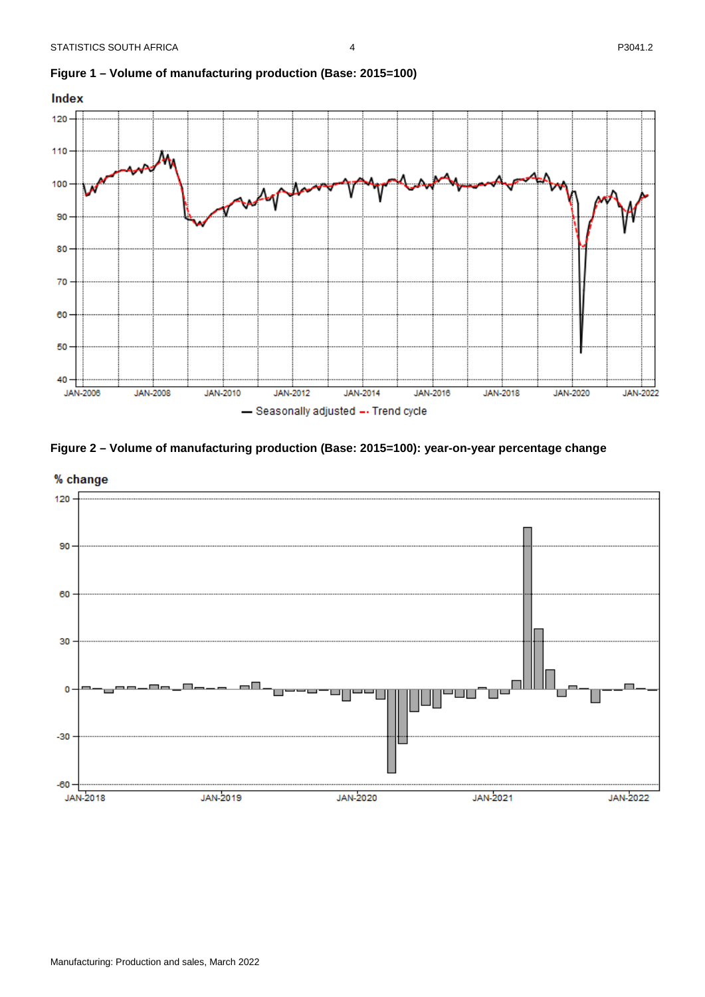

# <span id="page-4-0"></span>**Figure 1 – Volume of manufacturing production (Base: 2015=100)**

<span id="page-4-1"></span>



4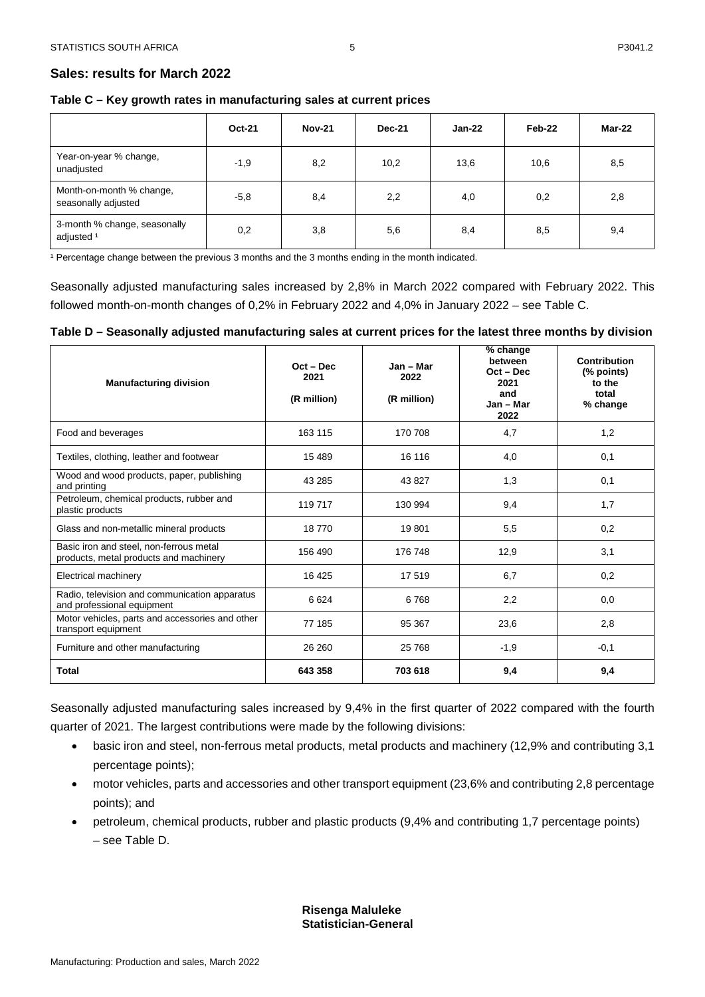<span id="page-5-1"></span><span id="page-5-0"></span>

| Table C - Key growth rates in manufacturing sales at current prices |  |
|---------------------------------------------------------------------|--|
|---------------------------------------------------------------------|--|

|                                                       | <b>Oct-21</b> | <b>Nov-21</b> | <b>Dec-21</b> | Jan-22 | Feb-22 | Mar-22 |
|-------------------------------------------------------|---------------|---------------|---------------|--------|--------|--------|
| Year-on-year % change,<br>unadjusted                  | $-1,9$        | 8,2           | 10,2          | 13,6   | 10,6   | 8,5    |
| Month-on-month % change,<br>seasonally adjusted       | $-5,8$        | 8,4           | 2,2           | 4,0    | 0,2    | 2,8    |
| 3-month % change, seasonally<br>adjusted <sup>1</sup> | 0,2           | 3,8           | 5,6           | 8,4    | 8,5    | 9,4    |

5

<sup>1</sup> Percentage change between the previous 3 months and the 3 months ending in the month indicated.

Seasonally adjusted manufacturing sales increased by 2,8% in March 2022 compared with February 2022. This followed month-on-month changes of 0,2% in February 2022 and 4,0% in January 2022 – see Table C.

# <span id="page-5-2"></span>**Table D – Seasonally adjusted manufacturing sales at current prices for the latest three months by division**

| <b>Manufacturing division</b>                                                     | $Oct - Dec$<br>2021<br>(R million) | Jan - Mar<br>2022<br>(R million) | % change<br>between<br>$Oct - Dec$<br>2021<br>and<br>Jan - Mar<br>2022 | Contribution<br>(% points)<br>to the<br>total<br>% change |
|-----------------------------------------------------------------------------------|------------------------------------|----------------------------------|------------------------------------------------------------------------|-----------------------------------------------------------|
| Food and beverages                                                                | 163 115                            | 170 708                          | 4,7                                                                    | 1,2                                                       |
| Textiles, clothing, leather and footwear                                          | 15 4 8 9                           | 16 116                           | 4,0                                                                    | 0,1                                                       |
| Wood and wood products, paper, publishing<br>and printing                         | 43 285                             | 43827                            | 1,3                                                                    | 0,1                                                       |
| Petroleum, chemical products, rubber and<br>plastic products                      | 119 717                            | 130 994                          | 9,4                                                                    | 1,7                                                       |
| Glass and non-metallic mineral products                                           | 18770                              | 19801                            | 5,5                                                                    | 0,2                                                       |
| Basic iron and steel, non-ferrous metal<br>products, metal products and machinery | 156 490                            | 176 748                          | 12,9                                                                   | 3,1                                                       |
| Electrical machinery                                                              | 16 4 25                            | 17519                            | 6,7                                                                    | 0,2                                                       |
| Radio, television and communication apparatus<br>and professional equipment       | 6624                               | 6768                             | 2,2                                                                    | 0,0                                                       |
| Motor vehicles, parts and accessories and other<br>transport equipment            | 77 185                             | 95 367                           | 23,6                                                                   | 2,8                                                       |
| Furniture and other manufacturing                                                 | 26 260                             | 25 768                           | $-1,9$                                                                 | $-0,1$                                                    |
| <b>Total</b>                                                                      | 643 358                            | 703 618                          | 9,4                                                                    | 9,4                                                       |

Seasonally adjusted manufacturing sales increased by 9,4% in the first quarter of 2022 compared with the fourth quarter of 2021. The largest contributions were made by the following divisions:

- basic iron and steel, non-ferrous metal products, metal products and machinery (12,9% and contributing 3,1 percentage points);
- motor vehicles, parts and accessories and other transport equipment (23,6% and contributing 2,8 percentage points); and
- petroleum, chemical products, rubber and plastic products (9,4% and contributing 1,7 percentage points) – see Table D.

# **Risenga Maluleke Statistician-General**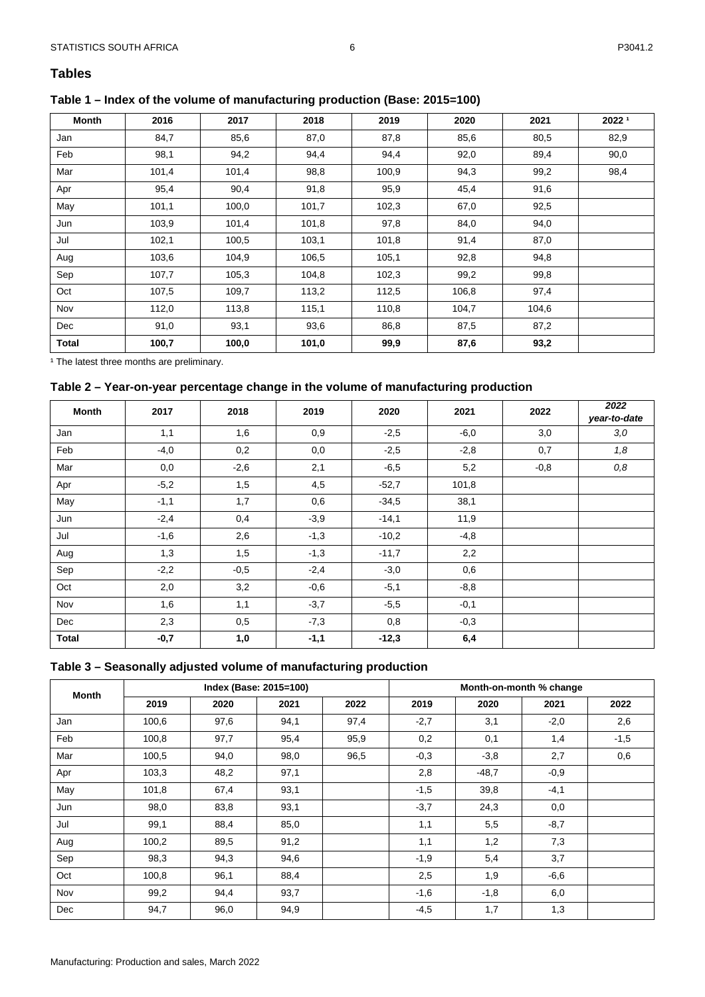# <span id="page-6-1"></span><span id="page-6-0"></span>**Table 1 – Index of the volume of manufacturing production (Base: 2015=100)**

| Month        | 2016  | 2017  | 2018  | 2019  | 2020  | 2021  | 20221 |
|--------------|-------|-------|-------|-------|-------|-------|-------|
| Jan          | 84,7  | 85,6  | 87,0  | 87,8  | 85,6  | 80,5  | 82,9  |
| Feb          | 98,1  | 94,2  | 94,4  | 94,4  | 92,0  | 89,4  | 90,0  |
| Mar          | 101,4 | 101,4 | 98,8  | 100,9 | 94,3  | 99,2  | 98,4  |
| Apr          | 95,4  | 90,4  | 91,8  | 95,9  | 45,4  | 91,6  |       |
| May          | 101,1 | 100,0 | 101,7 | 102,3 | 67,0  | 92,5  |       |
| Jun          | 103,9 | 101,4 | 101,8 | 97,8  | 84,0  | 94,0  |       |
| Jul          | 102,1 | 100,5 | 103,1 | 101,8 | 91,4  | 87,0  |       |
| Aug          | 103,6 | 104,9 | 106,5 | 105,1 | 92,8  | 94,8  |       |
| Sep          | 107,7 | 105,3 | 104,8 | 102,3 | 99,2  | 99,8  |       |
| Oct          | 107,5 | 109,7 | 113,2 | 112,5 | 106,8 | 97,4  |       |
| Nov          | 112,0 | 113,8 | 115,1 | 110,8 | 104,7 | 104,6 |       |
| Dec          | 91,0  | 93,1  | 93,6  | 86,8  | 87,5  | 87,2  |       |
| <b>Total</b> | 100,7 | 100,0 | 101,0 | 99,9  | 87,6  | 93,2  |       |

<span id="page-6-2"></span><sup>1</sup> The latest three months are preliminary.

# **Table 2 – Year-on-year percentage change in the volume of manufacturing production**

| <b>Month</b> | 2017   | 2018   | 2019   | 2020    | 2021   | 2022   | 2022<br>year-to-date |
|--------------|--------|--------|--------|---------|--------|--------|----------------------|
| Jan          | 1,1    | 1,6    | 0,9    | $-2,5$  | $-6,0$ | 3,0    | 3,0                  |
| Feb          | $-4,0$ | 0,2    | 0,0    | $-2,5$  | $-2,8$ | 0,7    | 1,8                  |
| Mar          | 0,0    | $-2,6$ | 2,1    | $-6,5$  | 5,2    | $-0,8$ | 0,8                  |
| Apr          | $-5,2$ | 1,5    | 4,5    | $-52,7$ | 101,8  |        |                      |
| May          | $-1,1$ | 1,7    | 0,6    | $-34,5$ | 38,1   |        |                      |
| Jun          | $-2,4$ | 0,4    | $-3,9$ | $-14,1$ | 11,9   |        |                      |
| Jul          | $-1,6$ | 2,6    | $-1,3$ | $-10,2$ | $-4,8$ |        |                      |
| Aug          | 1,3    | 1,5    | $-1,3$ | $-11,7$ | 2,2    |        |                      |
| Sep          | $-2,2$ | $-0,5$ | $-2,4$ | $-3,0$  | 0,6    |        |                      |
| Oct          | 2,0    | 3,2    | $-0,6$ | $-5,1$  | $-8,8$ |        |                      |
| Nov          | 1,6    | 1,1    | $-3,7$ | $-5,5$  | $-0,1$ |        |                      |
| Dec          | 2,3    | 0,5    | $-7,3$ | 0,8     | $-0,3$ |        |                      |
| <b>Total</b> | $-0,7$ | 1,0    | $-1,1$ | $-12,3$ | 6,4    |        |                      |

#### <span id="page-6-3"></span>**Table 3 – Seasonally adjusted volume of manufacturing production**

| Month |       | Index (Base: 2015=100) |      |      |        | Month-on-month % change |        |        |  |
|-------|-------|------------------------|------|------|--------|-------------------------|--------|--------|--|
|       | 2019  | 2020                   | 2021 | 2022 | 2019   | 2020                    | 2021   | 2022   |  |
| Jan   | 100,6 | 97,6                   | 94,1 | 97,4 | $-2,7$ | 3,1                     | $-2,0$ | 2,6    |  |
| Feb   | 100,8 | 97,7                   | 95,4 | 95,9 | 0,2    | 0,1                     | 1,4    | $-1,5$ |  |
| Mar   | 100,5 | 94,0                   | 98,0 | 96,5 | $-0,3$ | $-3.8$                  | 2,7    | 0,6    |  |
| Apr   | 103,3 | 48,2                   | 97,1 |      | 2,8    | $-48,7$                 | $-0,9$ |        |  |
| May   | 101,8 | 67,4                   | 93,1 |      | $-1,5$ | 39,8                    | $-4,1$ |        |  |
| Jun   | 98,0  | 83,8                   | 93,1 |      | $-3,7$ | 24,3                    | 0,0    |        |  |
| Jul   | 99,1  | 88,4                   | 85,0 |      | 1,1    | 5,5                     | $-8,7$ |        |  |
| Aug   | 100,2 | 89,5                   | 91,2 |      | 1,1    | 1,2                     | 7,3    |        |  |
| Sep   | 98,3  | 94,3                   | 94,6 |      | $-1,9$ | 5,4                     | 3,7    |        |  |
| Oct   | 100,8 | 96,1                   | 88,4 |      | 2,5    | 1,9                     | $-6,6$ |        |  |
| Nov   | 99,2  | 94,4                   | 93,7 |      | $-1,6$ | $-1,8$                  | 6,0    |        |  |
| Dec   | 94,7  | 96,0                   | 94,9 |      | $-4,5$ | 1,7                     | 1,3    |        |  |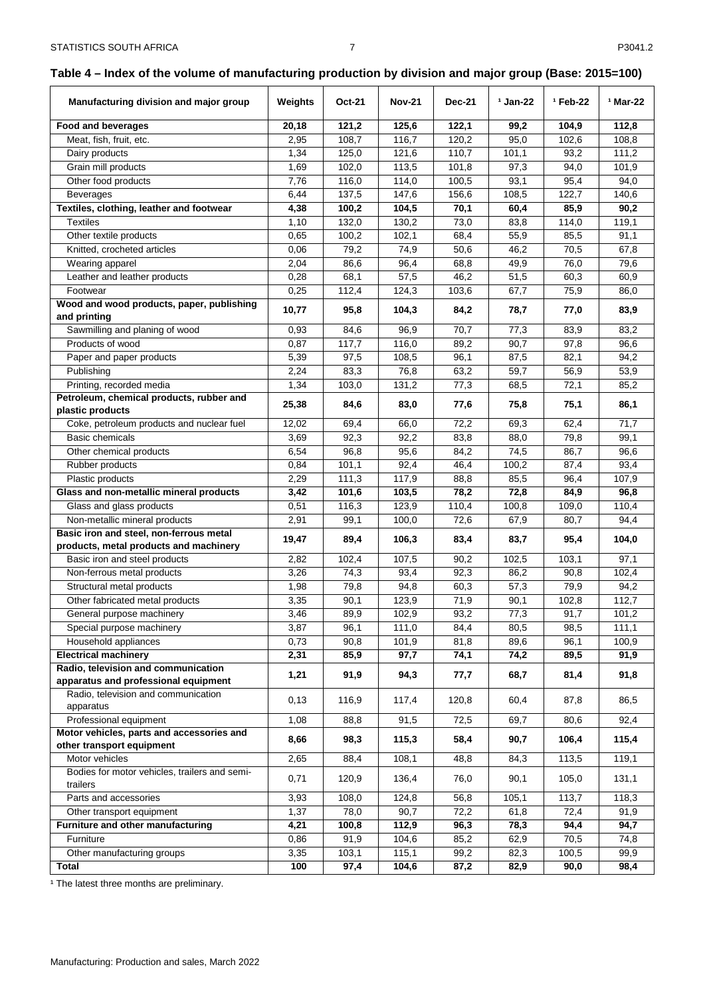# <span id="page-7-0"></span>**Table 4 – Index of the volume of manufacturing production by division and major group (Base: 2015=100)**

| Manufacturing division and major group                               | Weights | <b>Oct-21</b> | <b>Nov-21</b> | <b>Dec-21</b> | $1$ Jan-22 | <sup>1</sup> Feb-22 | <sup>1</sup> Mar-22 |
|----------------------------------------------------------------------|---------|---------------|---------------|---------------|------------|---------------------|---------------------|
| <b>Food and beverages</b>                                            | 20,18   | 121,2         | 125,6         | 122,1         | 99,2       | 104,9               | 112,8               |
| Meat, fish, fruit, etc.                                              | 2,95    | 108,7         | 116,7         | 120,2         | 95,0       | 102,6               | 108,8               |
| Dairy products                                                       | 1,34    | 125,0         | 121,6         | 110,7         | 101,1      | 93,2                | 111,2               |
| Grain mill products                                                  | 1,69    | 102,0         | 113,5         | 101,8         | 97,3       | 94,0                | 101,9               |
| Other food products                                                  | 7,76    | 116,0         | 114,0         | 100,5         | 93,1       | 95,4                | 94,0                |
| <b>Beverages</b>                                                     | 6,44    | 137,5         | 147,6         | 156,6         | 108,5      | 122,7               | 140,6               |
| Textiles, clothing, leather and footwear                             | 4,38    | 100,2         | 104,5         | 70,1          | 60,4       | 85,9                | 90,2                |
| <b>Textiles</b>                                                      | 1,10    | 132,0         | 130,2         | 73,0          | 83,8       | 114,0               | 119,1               |
| Other textile products                                               | 0,65    | 100,2         | 102,1         | 68,4          | 55,9       | 85,5                | 91,1                |
| Knitted, crocheted articles                                          | 0,06    | 79,2          | 74,9          | 50,6          | 46,2       | 70,5                | 67,8                |
| Wearing apparel                                                      | 2,04    | 86,6          | 96,4          | 68,8          | 49,9       | 76,0                | 79,6                |
| Leather and leather products                                         | 0,28    | 68,1          | 57,5          | 46,2          | 51,5       | 60,3                | 60,9                |
| Footwear                                                             | 0,25    | 112,4         | 124,3         | 103,6         | 67,7       | 75,9                | 86,0                |
| Wood and wood products, paper, publishing                            | 10,77   | 95,8          | 104,3         | 84,2          | 78,7       | 77,0                | 83,9                |
| and printing                                                         |         |               |               |               |            |                     |                     |
| Sawmilling and planing of wood                                       | 0,93    | 84,6          | 96,9          | 70,7          | 77,3       | 83,9                | 83,2                |
| Products of wood                                                     | 0,87    | 117,7         | 116,0         | 89,2          | 90,7       | 97,8                | 96,6                |
| Paper and paper products                                             | 5,39    | 97,5          | 108,5         | 96,1          | 87,5       | 82,1                | 94,2                |
| Publishing                                                           | 2,24    | 83,3          | 76,8          | 63,2          | 59,7       | 56,9                | 53,9                |
| Printing, recorded media<br>Petroleum, chemical products, rubber and | 1,34    | 103,0         | 131,2         | 77,3          | 68,5       | 72,1                | 85,2                |
| plastic products                                                     | 25,38   | 84,6          | 83,0          | 77,6          | 75,8       | 75,1                | 86,1                |
| Coke, petroleum products and nuclear fuel                            | 12,02   | 69,4          | 66,0          | 72,2          | 69,3       | 62,4                | 71,7                |
| <b>Basic chemicals</b>                                               | 3,69    | 92,3          | 92,2          | 83,8          | 88,0       | 79,8                | 99,1                |
| Other chemical products                                              | 6,54    | 96,8          | 95,6          | 84,2          | 74,5       | 86,7                | 96,6                |
| Rubber products                                                      | 0,84    | 101,1         | 92,4          | 46,4          | 100,2      | 87,4                | 93,4                |
| Plastic products                                                     | 2,29    | 111,3         | 117,9         | 88,8          | 85,5       | 96,4                | 107,9               |
| Glass and non-metallic mineral products                              | 3,42    | 101,6         | 103,5         | 78,2          | 72,8       | 84,9                | 96,8                |
| Glass and glass products                                             | 0,51    | 116,3         | 123,9         | 110,4         | 100,8      | 109,0               | 110,4               |
| Non-metallic mineral products                                        | 2,91    | 99,1          | 100,0         | 72,6          | 67,9       | 80,7                | 94,4                |
| Basic iron and steel, non-ferrous metal                              | 19,47   | 89,4          | 106,3         | 83,4          | 83,7       | 95,4                | 104,0               |
| products, metal products and machinery                               |         |               |               |               |            |                     |                     |
| Basic iron and steel products                                        | 2,82    | 102,4         | 107,5         | 90,2          | 102,5      | 103,1               | 97,1                |
| Non-ferrous metal products                                           | 3,26    | 74,3          | 93,4          | 92,3          | 86,2       | 90,8                | 102,4               |
| Structural metal products                                            | 1,98    | 79,8          | 94,8          | 60,3          | 57,3       | 79,9                | 94,2                |
| Other fabricated metal products                                      | 3,35    | 90,1          | 123,9         | 71,9          | 90,1       | 102,8               | 112,7               |
| General purpose machinery                                            | 3,46    | 89,9          | 102,9         | 93,2          | 77,3       | 91,7                | 101,2               |
| Special purpose machinery                                            | 3,87    | 96,1          | 111,0         | 84,4          | 80,5       | 98,5                | 111,1               |
| Household appliances<br><b>Electrical machinery</b>                  | 0,73    | 90,8          | 101,9         | 81,8          | 89,6       | 96,1<br>89,5        | 100,9               |
| Radio, television and communication                                  | 2,31    | 85,9          | 97,7          | 74,1          | 74,2       |                     | 91,9                |
| apparatus and professional equipment                                 | 1,21    | 91,9          | 94,3          | 77,7          | 68,7       | 81,4                | 91,8                |
| Radio, television and communication<br>apparatus                     | 0,13    | 116,9         | 117,4         | 120,8         | 60,4       | 87,8                | 86,5                |
| Professional equipment                                               | 1,08    | 88,8          | 91,5          | 72,5          | 69,7       | 80,6                | 92,4                |
| Motor vehicles, parts and accessories and                            |         |               |               |               |            |                     |                     |
| other transport equipment                                            | 8,66    | 98,3          | 115,3         | 58,4          | 90,7       | 106,4               | 115,4               |
| Motor vehicles                                                       | 2,65    | 88,4          | 108,1         | 48,8          | 84,3       | 113,5               | 119,1               |
| Bodies for motor vehicles, trailers and semi-<br>trailers            | 0,71    | 120,9         | 136,4         | 76,0          | 90,1       | 105,0               | 131,1               |
| Parts and accessories                                                | 3,93    | 108,0         | 124,8         | 56,8          | 105,1      | 113,7               | 118,3               |
| Other transport equipment                                            | 1,37    | 78,0          | 90,7          | 72,2          | 61,8       | 72,4                | 91,9                |
| Furniture and other manufacturing                                    | 4,21    | 100,8         | 112,9         | 96,3          | 78,3       | 94,4                | 94,7                |
| Furniture                                                            | 0,86    | 91,9          | 104,6         | 85,2          | 62,9       | 70,5                | 74,8                |
| Other manufacturing groups                                           | 3,35    | 103,1         | 115,1         | 99,2          | 82,3       | 100,5               | 99,9                |
| <b>Total</b>                                                         | 100     | 97,4          | 104,6         | 87,2          | 82,9       | 90,0                | 98,4                |

<sup>1</sup> The latest three months are preliminary.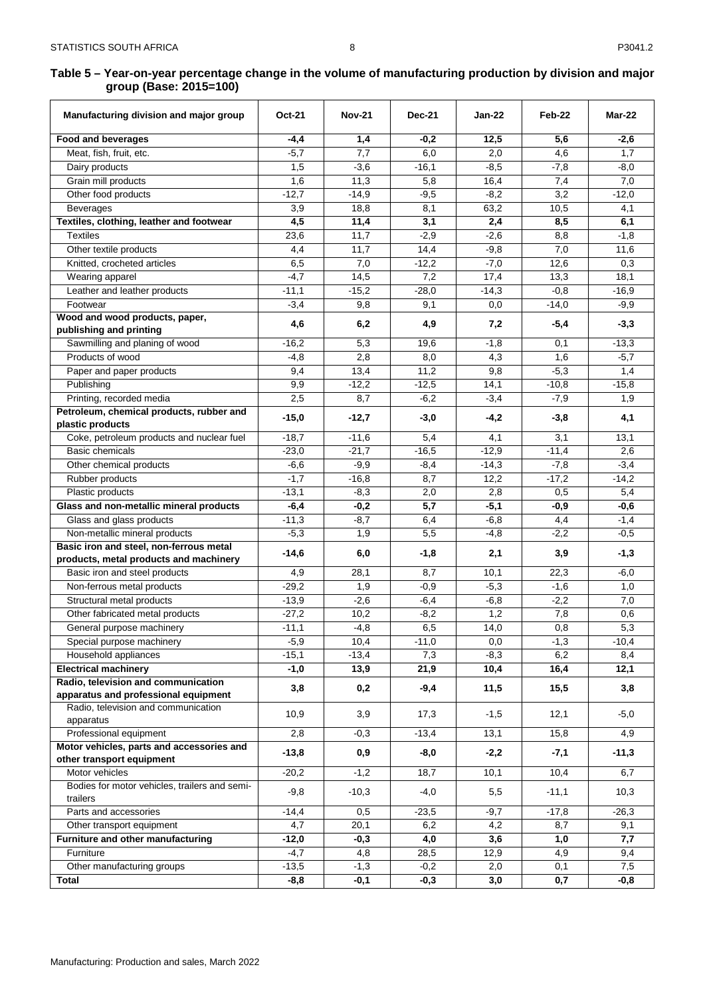8

<span id="page-8-0"></span>

| Manufacturing division and major group                                 | <b>Oct-21</b> | <b>Nov-21</b> | <b>Dec-21</b> | <b>Jan-22</b> | Feb-22       | Mar-22  |
|------------------------------------------------------------------------|---------------|---------------|---------------|---------------|--------------|---------|
| Food and beverages                                                     | -4,4          | 1,4           | $-0,2$        | 12,5          | 5,6          | $-2,6$  |
| Meat, fish, fruit, etc.                                                | $-5,7$        | 7,7           | 6,0           | 2,0           | 4,6          | 1,7     |
| Dairy products                                                         | 1,5           | $-3,6$        | $-16,1$       | $-8,5$        | $-7,8$       | $-8,0$  |
| Grain mill products                                                    | 1,6           | 11,3          | 5,8           | 16,4          | 7,4          | 7,0     |
| Other food products                                                    | $-12.7$       | $-14,9$       | $-9,5$        | $-8,2$        | 3,2          | $-12,0$ |
| Beverages                                                              | 3,9           | 18,8          | 8,1           | 63,2          | 10,5         | 4,1     |
| Textiles, clothing, leather and footwear                               | 4,5           | 11,4          | 3,1           | 2,4           | 8,5          | 6,1     |
| <b>Textiles</b>                                                        | 23,6          | 11,7          | $-2,9$        | $-2,6$        | 8,8          | $-1,8$  |
| Other textile products                                                 | 4,4           | 11,7          | 14,4          | $-9,8$        | 7,0          | 11,6    |
| Knitted, crocheted articles                                            | 6,5           | 7,0           | $-12,2$       | $-7,0$        | 12,6         | 0,3     |
| Wearing apparel                                                        | $-4,7$        | 14,5          | 7,2           | 17,4          | 13,3         | 18,1    |
| Leather and leather products                                           | $-11,1$       | $-15,2$       | $-28,0$       | $-14,3$       | $-0,8$       | $-16,9$ |
| Footwear                                                               | $-3,4$        | 9,8           | 9,1           | 0,0           | $-14,0$      | $-9,9$  |
| Wood and wood products, paper,<br>publishing and printing              | 4,6           | 6,2           | 4,9           | 7,2           | $-5,4$       | $-3,3$  |
| Sawmilling and planing of wood                                         | $-16,2$       | 5,3           | 19,6          | $-1,8$        | 0,1          | $-13,3$ |
| Products of wood                                                       | $-4,8$        | 2,8           | 8,0           | 4,3           | 1,6          | $-5,7$  |
| Paper and paper products                                               | 9,4           | 13,4          | 11,2          | 9,8           | $-5,3$       | 1,4     |
| Publishing                                                             | 9,9           | $-12,2$       | $-12,5$       | 14,1          | $-10,8$      | $-15,8$ |
| Printing, recorded media                                               | 2,5           | 8,7           | $-6,2$        | $-3,4$        | $-7,9$       | 1,9     |
| Petroleum, chemical products, rubber and<br>plastic products           | $-15,0$       | $-12,7$       | $-3,0$        | $-4,2$        | $-3,8$       | 4,1     |
| Coke, petroleum products and nuclear fuel                              | $-18,7$       | $-11,6$       | 5,4           | 4,1           | 3,1          | 13,1    |
| Basic chemicals                                                        | $-23,0$       | $-21,7$       | $-16,5$       | $-12,9$       | $-11,4$      | 2,6     |
| Other chemical products                                                | $-6,6$        | $-9,9$        | $-8,4$        | $-14,3$       | $-7,8$       | $-3,4$  |
| Rubber products                                                        | $-1,7$        | $-16,8$       | 8,7           | 12,2          | $-17,2$      | $-14,2$ |
| Plastic products                                                       | $-13,1$       | $-8,3$        | 2,0           | 2,8           | 0,5          | 5,4     |
| Glass and non-metallic mineral products                                | $-6,4$        | $-0,2$        | 5,7           | $-5,1$        | $-0,9$       | $-0,6$  |
| Glass and glass products                                               | $-11,3$       | $-8,7$        | 6,4           | $-6,8$        | 4,4          | $-1,4$  |
| Non-metallic mineral products                                          | $-5,3$        | 1,9           | 5,5           | $-4,8$        | $-2,2$       | $-0,5$  |
| Basic iron and steel, non-ferrous metal                                | $-14,6$       | 6,0           | $-1,8$        | 2,1           | 3,9          | $-1,3$  |
| products, metal products and machinery                                 |               |               |               |               |              |         |
| Basic iron and steel products                                          | 4,9           | 28,1          | 8,7           | 10,1          | 22,3         | $-6,0$  |
| Non-ferrous metal products                                             | $-29,2$       | 1,9           | $-0,9$        | $-5,3$        | $-1,6$       | 1,0     |
| Structural metal products                                              | $-13,9$       | $-2,6$        | $-6,4$        | $-6,8$        | $-2,2$       | 7,0     |
| Other fabricated metal products                                        | $-27,2$       | 10,2          | $-8,2$        | 1,2           | 7,8          | 0,6     |
| General purpose machinery                                              | $-11,1$       | $-4,8$        | 6,5           | 14,0          | $_{\rm 0,8}$ | 5,3     |
| Special purpose machinery                                              | $-5,9$        | 10,4          | $-11,0$       | 0,0           | $-1,3$       | $-10,4$ |
| Household appliances                                                   | $-15,1$       | $-13,4$       | 7,3           | $-8,3$        | 6,2          | 8,4     |
| <b>Electrical machinery</b><br>Radio, television and communication     | $-1,0$        | 13,9          | 21,9          | 10,4          | 16,4         | 12,1    |
| apparatus and professional equipment                                   | 3,8           | 0,2           | $-9,4$        | 11,5          | 15,5         | 3,8     |
| Radio, television and communication<br>apparatus                       | 10,9          | 3,9           | 17,3          | $-1,5$        | 12,1         | $-5,0$  |
| Professional equipment                                                 | 2,8           | $-0,3$        | $-13,4$       | 13,1          | 15,8         | 4,9     |
| Motor vehicles, parts and accessories and<br>other transport equipment | $-13,8$       | 0,9           | $-8,0$        | $-2,2$        | $-7,1$       | $-11,3$ |
| Motor vehicles                                                         | $-20,2$       | $-1,2$        | 18,7          | 10,1          | 10,4         | 6,7     |
| Bodies for motor vehicles, trailers and semi-<br>trailers              | $-9,8$        | $-10,3$       | $-4,0$        | 5,5           | $-11,1$      | 10,3    |
| Parts and accessories                                                  | $-14,4$       | 0,5           | $-23,5$       | $-9,7$        | $-17,8$      | $-26,3$ |
| Other transport equipment                                              | 4,7           | 20,1          | 6,2           | 4,2           | 8,7          | 9,1     |
| Furniture and other manufacturing                                      | $-12,0$       | -0,3          | 4,0           | 3,6           | 1,0          | 7,7     |
| Furniture                                                              | $-4,7$        | 4,8           | 28,5          | 12,9          | 4,9          | 9,4     |
| Other manufacturing groups                                             | $-13,5$       | $-1,3$        | $-0,2$        | 2,0           | 0,1          | 7,5     |
| Total                                                                  | $-8,8$        | $-0,1$        | $-0,3$        | 3,0           | 0,7          | $-0,8$  |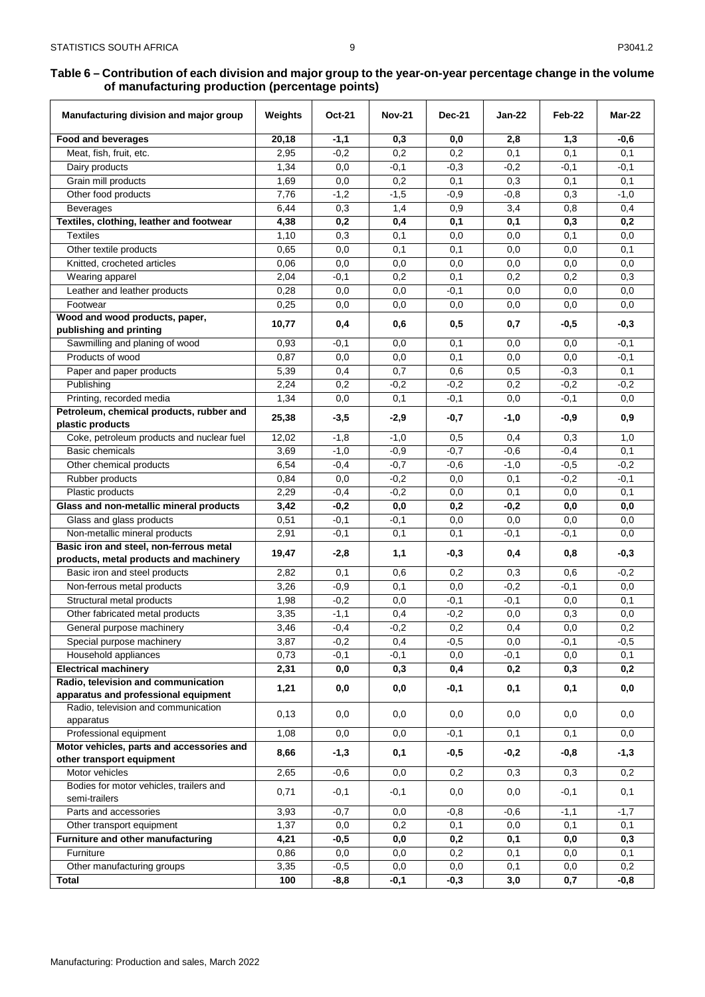<span id="page-9-0"></span>

| Manufacturing division and major group                             | Weights | <b>Oct-21</b> | <b>Nov-21</b> | <b>Dec-21</b> | Jan-22 | Feb-22 | Mar-22 |
|--------------------------------------------------------------------|---------|---------------|---------------|---------------|--------|--------|--------|
| <b>Food and beverages</b>                                          | 20,18   | $-1,1$        | 0,3           | 0,0           | 2,8    | 1,3    | $-0,6$ |
| Meat, fish, fruit, etc.                                            | 2,95    | $-0,2$        | 0,2           | 0,2           | 0,1    | 0,1    | 0,1    |
| Dairy products                                                     | 1,34    | 0,0           | $-0,1$        | $-0,3$        | $-0,2$ | $-0,1$ | $-0,1$ |
| Grain mill products                                                | 1,69    | 0,0           | 0,2           | 0,1           | 0,3    | 0,1    | 0,1    |
| Other food products                                                | 7,76    | $-1,2$        | $-1,5$        | $-0,9$        | $-0,8$ | 0,3    | $-1,0$ |
| <b>Beverages</b>                                                   | 6,44    | 0,3           | 1,4           | 0,9           | 3,4    | 0,8    | 0,4    |
| Textiles, clothing, leather and footwear                           | 4,38    | 0,2           | 0,4           | 0,1           | 0,1    | 0,3    | 0,2    |
| <b>Textiles</b>                                                    | 1,10    | 0,3           | 0,1           | 0,0           | 0,0    | 0,1    | 0,0    |
| Other textile products                                             | 0,65    | 0,0           | 0,1           | 0,1           | 0,0    | 0,0    | 0,1    |
| Knitted, crocheted articles                                        | 0,06    | 0,0           | 0,0           | 0,0           | 0,0    | 0,0    | 0,0    |
| Wearing apparel                                                    | 2,04    | $-0,1$        | 0,2           | 0,1           | 0,2    | 0,2    | 0,3    |
| Leather and leather products                                       | 0,28    | 0,0           | 0,0           | $-0,1$        | 0,0    | 0,0    | 0,0    |
| Footwear                                                           | 0,25    | 0,0           | 0,0           | 0,0           | 0,0    | 0,0    | 0,0    |
| Wood and wood products, paper,                                     | 10,77   | 0,4           | 0,6           | 0,5           | 0,7    | $-0,5$ | $-0,3$ |
| publishing and printing                                            | 0.93    | $-0,1$        | 0,0           | 0,1           | 0,0    | 0,0    | $-0,1$ |
| Sawmilling and planing of wood<br>Products of wood                 | 0,87    | 0,0           | 0,0           | 0,1           | 0,0    | 0,0    | $-0,1$ |
| Paper and paper products                                           | 5,39    | 0,4           | 0,7           | 0,6           | 0,5    | $-0,3$ | 0,1    |
| Publishing                                                         | 2,24    | 0,2           | $-0,2$        | $-0,2$        | 0,2    | $-0,2$ | $-0,2$ |
| Printing, recorded media                                           | 1,34    | 0,0           | 0,1           | $-0,1$        | 0,0    | $-0,1$ | 0,0    |
| Petroleum, chemical products, rubber and                           |         |               |               |               |        |        |        |
| plastic products                                                   | 25,38   | $-3,5$        | $-2,9$        | -0,7          | $-1,0$ | -0,9   | 0,9    |
| Coke, petroleum products and nuclear fuel                          | 12,02   | $-1,8$        | $-1,0$        | 0,5           | 0,4    | 0,3    | 1,0    |
| Basic chemicals                                                    | 3,69    | $-1,0$        | $-0,9$        | $-0,7$        | $-0,6$ | $-0,4$ | 0,1    |
| Other chemical products                                            | 6,54    | $-0,4$        | $-0,7$        | $-0.6$        | $-1,0$ | $-0,5$ | $-0,2$ |
| Rubber products                                                    | 0,84    | 0,0           | $-0,2$        | 0,0           | 0,1    | $-0,2$ | $-0,1$ |
| Plastic products                                                   | 2,29    | $-0,4$        | $-0,2$        | 0,0           | 0,1    | 0,0    | 0,1    |
| Glass and non-metallic mineral products                            | 3,42    | $-0,2$        | 0,0           | 0,2           | $-0,2$ | 0,0    | 0,0    |
| Glass and glass products                                           | 0,51    | $-0,1$        | $-0,1$        | 0,0           | 0,0    | 0,0    | 0,0    |
| Non-metallic mineral products                                      | 2,91    | $-0,1$        | 0,1           | 0,1           | $-0,1$ | $-0,1$ | 0,0    |
| Basic iron and steel, non-ferrous metal                            | 19,47   | $-2,8$        | 1,1           | -0,3          | 0,4    | 0,8    | $-0,3$ |
| products, metal products and machinery                             |         |               |               |               |        |        |        |
| Basic iron and steel products                                      | 2,82    | 0,1           | 0,6           | 0,2           | 0,3    | 0,6    | $-0,2$ |
| Non-ferrous metal products                                         | 3,26    | $-0,9$        | 0,1           | 0,0           | $-0,2$ | $-0,1$ | 0,0    |
| Structural metal products                                          | 1,98    | $-0,2$        | 0,0           | $-0,1$        | $-0,1$ | 0,0    | 0,1    |
| Other fabricated metal products                                    | 3,35    | $-1,1$        | 0,4           | $-0,2$        | 0,0    | 0,3    | 0,0    |
| General purpose machinery                                          | 3,46    | $-0,4$        | $-0,2$        | 0,2           | 0,4    | 0,0    | 0,2    |
| Special purpose machinery                                          | 3,87    | $-0,2$        | 0,4           | $-0,5$        | 0,0    | $-0,1$ | $-0,5$ |
| Household appliances                                               | 0,73    | $-0,1$        | $-0,1$        | 0,0           | $-0,1$ | 0,0    | 0,1    |
| <b>Electrical machinery</b><br>Radio, television and communication | 2,31    | 0,0           | 0,3           | 0,4           | 0,2    | 0,3    | 0,2    |
| apparatus and professional equipment                               | 1,21    | 0,0           | 0,0           | $-0,1$        | 0,1    | 0,1    | 0,0    |
| Radio, television and communication                                | 0,13    | 0,0           | 0,0           | 0,0           | 0,0    | 0,0    | 0,0    |
| apparatus<br>Professional equipment                                | 1,08    | 0,0           | 0,0           | $-0,1$        | 0,1    |        | 0,0    |
| Motor vehicles, parts and accessories and                          |         |               |               |               |        | 0,1    |        |
| other transport equipment                                          | 8,66    | $-1,3$        | 0,1           | -0,5          | $-0,2$ | $-0,8$ | $-1,3$ |
| Motor vehicles                                                     | 2,65    | $-0,6$        | 0,0           | 0,2           | 0,3    | 0,3    | 0,2    |
| Bodies for motor vehicles, trailers and<br>semi-trailers           | 0,71    | $-0,1$        | $-0,1$        | 0,0           | 0,0    | $-0,1$ | 0,1    |
| Parts and accessories                                              | 3,93    | $-0,7$        | 0,0           | $-0,8$        | $-0,6$ | $-1,1$ | $-1,7$ |
| Other transport equipment                                          | 1,37    | 0,0           | 0,2           | 0,1           | 0,0    | 0,1    | 0,1    |
| Furniture and other manufacturing                                  | 4,21    | -0,5          | 0,0           | 0,2           | 0,1    | 0,0    | 0,3    |
| Furniture                                                          | 0,86    | 0,0           | 0,0           | 0,2           | 0,1    | 0,0    | 0,1    |
| Other manufacturing groups                                         | 3,35    | $-0,5$        | 0,0           | 0,0           | 0,1    | 0,0    | 0,2    |
| <b>Total</b>                                                       | 100     | $-8,8$        | -0,1          | -0,3          | 3,0    | 0,7    | -0,8   |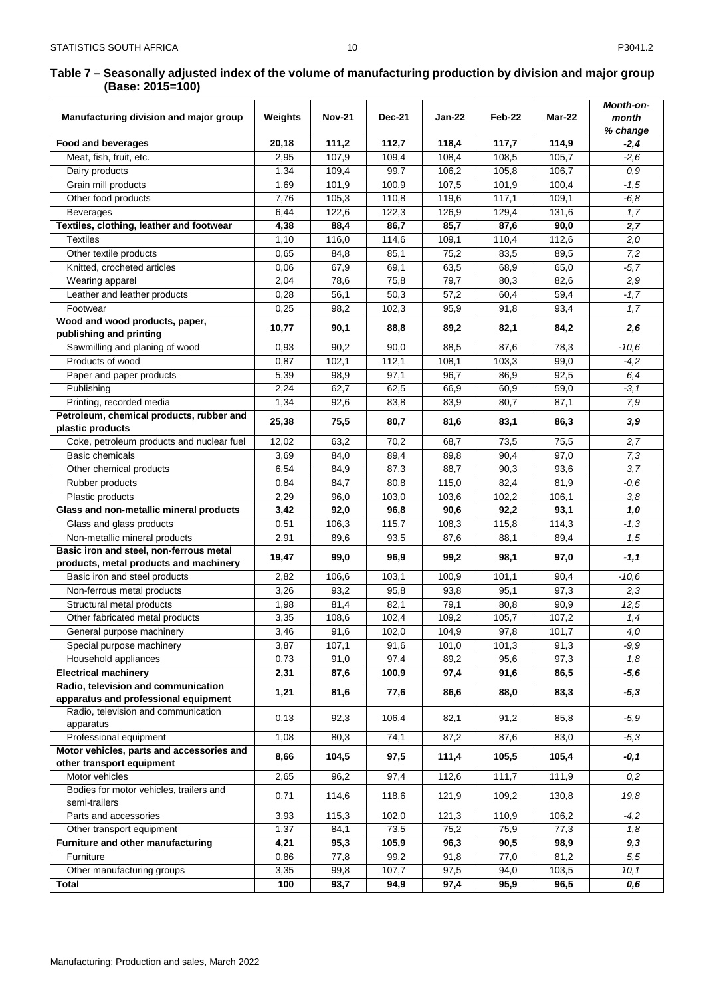10

<span id="page-10-0"></span>

| Manufacturing division and major group                                      | Weights      | <b>Nov-21</b> | <b>Dec-21</b> | Jan-22             | Feb-22         | <b>Mar-22</b>  | Month-on-<br>month |
|-----------------------------------------------------------------------------|--------------|---------------|---------------|--------------------|----------------|----------------|--------------------|
|                                                                             |              |               |               |                    |                |                | % change           |
| Food and beverages                                                          | 20,18        | 111,2         | 112,7         | $\overline{1}18,4$ | 117,7          | 114,9          | $-2,4$             |
| Meat, fish, fruit, etc.                                                     | 2,95         | 107,9         | 109,4         | 108,4              | 108,5          | 105,7          | $-2,6$             |
| Dairy products                                                              | 1,34         | 109,4         | 99,7          | 106,2              | 105,8          | 106,7          | 0,9                |
| Grain mill products                                                         | 1,69         | 101,9         | 100,9         | 107,5              | 101,9          | 100,4          | $-1,5$             |
| Other food products                                                         | 7,76         | 105,3         | 110,8         | 119,6              | 117,1          | 109,1          | $-6,8$             |
| <b>Beverages</b>                                                            | 6,44         | 122,6         | 122,3         | 126,9              | 129,4          | 131,6          | 1,7                |
| Textiles, clothing, leather and footwear                                    | 4,38         | 88,4          | 86,7          | 85,7               | 87,6           | 90,0           | 2,7                |
| <b>Textiles</b>                                                             | 1,10         | 116,0         | 114,6         | 109,1              | 110,4          | 112,6          | 2,0                |
| Other textile products                                                      | 0,65         | 84,8          | 85,1          | 75,2               | 83,5           | 89,5           | 7,2                |
| Knitted, crocheted articles                                                 | 0,06         | 67,9          | 69,1          | 63,5               | 68,9           | 65,0           | $-5,7$             |
| Wearing apparel                                                             | 2,04         | 78,6          | 75,8          | 79,7               | 80,3           | 82,6           | 2,9                |
| Leather and leather products                                                | 0,28         | 56,1          | 50,3          | 57,2               | 60,4           | 59,4           | $-1,7$             |
| Footwear                                                                    | 0,25         | 98,2          | 102,3         | 95,9               | 91,8           | 93,4           | 1,7                |
| Wood and wood products, paper,<br>publishing and printing                   | 10,77        | 90,1          | 88,8          | 89,2               | 82,1           | 84,2           | 2,6                |
| Sawmilling and planing of wood                                              | 0,93         | 90,2          | 90,0          | 88,5               | 87,6           | 78,3           | $-10,6$            |
| Products of wood                                                            | 0,87         | 102,1         | 112,1         | 108,1              | 103.3          | 99,0           | $-4,2$             |
| Paper and paper products                                                    | 5,39         | 98,9          | 97,1          | 96,7               | 86,9           | 92,5           | 6,4                |
| Publishing                                                                  | 2,24         | 62,7          | 62,5          | 66,9               | 60,9           | 59,0           | $-3, 1$            |
| Printing, recorded media                                                    | 1,34         | 92,6          | 83,8          | 83,9               | 80,7           | 87,1           | 7,9                |
| Petroleum, chemical products, rubber and<br>plastic products                | 25,38        | 75,5          | 80,7          | 81,6               | 83,1           | 86,3           | 3,9                |
| Coke, petroleum products and nuclear fuel                                   | 12,02        | 63,2          | 70,2          | 68,7               | 73,5           | 75,5           | 2,7                |
| <b>Basic chemicals</b>                                                      | 3,69         | 84,0          | 89,4          | 89,8               | 90,4           | 97,0           | 7,3                |
| Other chemical products                                                     | 6,54         | 84,9          | 87,3          | 88,7               | 90,3           | 93,6           | 3,7                |
| Rubber products                                                             | 0,84         | 84,7          | 80,8          | 115,0              | 82,4           | 81,9           | $-0,6$             |
| Plastic products                                                            | 2,29         | 96,0          | 103,0         | 103,6              | 102,2          | 106,1          | 3,8                |
| Glass and non-metallic mineral products                                     | 3,42         | 92,0          | 96,8          | 90,6               | 92,2           | 93,1           | 1,0                |
| Glass and glass products                                                    | 0,51         | 106,3         | 115,7         | 108,3              | 115,8          | 114,3          | $-1,3$             |
| Non-metallic mineral products                                               | 2,91         | 89,6          | 93,5          | 87,6               | 88,1           | 89,4           | 1,5                |
| Basic iron and steel, non-ferrous metal                                     |              |               |               |                    |                |                |                    |
| products, metal products and machinery                                      | 19,47        | 99,0          | 96,9          | 99,2               | 98,1           | 97,0           | $-1,1$             |
| Basic iron and steel products                                               | 2,82         | 106,6         | 103,1         | 100,9              | 101,1          | 90,4           | $-10,6$            |
| Non-ferrous metal products                                                  | 3,26         | 93,2          | 95,8          | 93,8               | 95,1           | 97,3           | 2,3                |
| Structural metal products                                                   | 1,98         | 81,4          | 82,1          | 79,1               | 80,8           | 90,9           | 12,5               |
| Other fabricated metal products                                             | 3,35         | 108,6         | 102,4         | 109,2              | 105,7          | 107,2          | 1,4                |
| General purpose machinery                                                   | 3,46         | 91,6          | 102,0         | 104,9              | 97,8           | 101,7          | 4,0                |
| Special purpose machinery                                                   | 3,87         | 107,1         | 91,6          | 101,0              | 101,3          | 91,3           | $-9,9$             |
| Household appliances                                                        | 0,73         | 91,0          | 97,4          | 89,2               | 95,6           | 97,3           | 1,8                |
| <b>Electrical machinery</b>                                                 | 2,31         | 87,6          | 100,9         | 97,4               | 91,6           | 86,5           | $-5,6$             |
| Radio, television and communication<br>apparatus and professional equipment | 1,21         | 81,6          | 77,6          | 86,6               | 88,0           | 83,3           | $-5,3$             |
| Radio, television and communication<br>apparatus                            | 0,13         | 92,3          | 106,4         | 82,1               | 91,2           | 85,8           | $-5,9$             |
| Professional equipment                                                      | 1,08         | 80,3          | 74,1          | 87,2               | 87,6           | 83,0           | $-5,3$             |
| Motor vehicles, parts and accessories and                                   | 8,66         | 104,5         | 97,5          | 111,4              | 105,5          | 105,4          | -0,1               |
| other transport equipment                                                   |              |               |               |                    |                |                |                    |
| Motor vehicles<br>Bodies for motor vehicles, trailers and                   | 2,65<br>0,71 | 96,2<br>114,6 | 97,4<br>118,6 | 112,6<br>121,9     | 111,7<br>109,2 | 111,9<br>130,8 | 0,2<br>19,8        |
| semi-trailers                                                               |              |               |               |                    |                |                |                    |
| Parts and accessories                                                       | 3,93         | 115,3         | 102,0         | 121,3              | 110,9          | 106,2          | $-4,2$             |
| Other transport equipment                                                   | 1,37         | 84,1          | 73,5          | 75,2               | 75,9           | 77,3           | 1,8                |
| Furniture and other manufacturing                                           | 4,21         | 95,3          | 105,9         | 96,3               | 90,5           | 98,9           | 9,3                |
| Furniture                                                                   | 0,86         | 77,8          | 99,2          | 91,8               | 77,0           | 81,2           | 5,5                |
| Other manufacturing groups                                                  | 3,35         | 99,8          | 107,7         | 97,5               | 94,0           | 103,5          | 10,1               |
| Total                                                                       | 100          | 93,7          | 94,9          | 97,4               | 95,9           | 96,5           | 0,6                |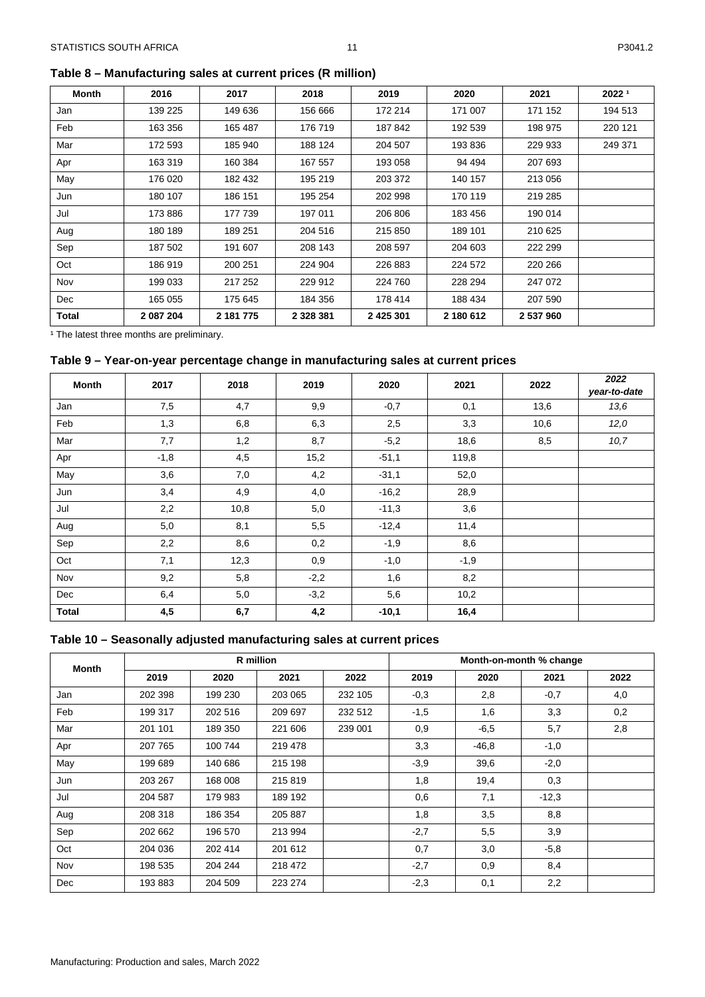<span id="page-11-0"></span>**Table 8 – Manufacturing sales at current prices (R million)**

| Month | 2016      | 2017      | 2018          | 2019          | 2020      | 2021      | 20221   |
|-------|-----------|-----------|---------------|---------------|-----------|-----------|---------|
| Jan   | 139 225   | 149 636   | 156 666       | 172 214       | 171 007   | 171 152   | 194 513 |
| Feb   | 163 356   | 165 487   | 176 719       | 187842        | 192 539   | 198 975   | 220 121 |
| Mar   | 172 593   | 185 940   | 188 124       | 204 507       | 193 836   | 229 933   | 249 371 |
| Apr   | 163 319   | 160 384   | 167 557       | 193 058       | 94 494    | 207 693   |         |
| May   | 176 020   | 182 432   | 195 219       | 203 372       | 140 157   | 213 056   |         |
| Jun   | 180 107   | 186 151   | 195 254       | 202 998       | 170 119   | 219 285   |         |
| Jul   | 173 886   | 177 739   | 197 011       | 206 806       | 183 456   | 190 014   |         |
| Aug   | 180 189   | 189 251   | 204 516       | 215 850       | 189 101   | 210 625   |         |
| Sep   | 187 502   | 191 607   | 208 143       | 208 597       | 204 603   | 222 299   |         |
| Oct   | 186 919   | 200 251   | 224 904       | 226 883       | 224 572   | 220 266   |         |
| Nov   | 199 033   | 217 252   | 229 912       | 224 760       | 228 294   | 247 072   |         |
| Dec   | 165 055   | 175 645   | 184 356       | 178 414       | 188 434   | 207 590   |         |
| Total | 2 087 204 | 2 181 775 | 2 3 2 8 3 8 1 | 2 4 2 5 3 0 1 | 2 180 612 | 2 537 960 |         |

<sup>1</sup> The latest three months are preliminary.

#### <span id="page-11-1"></span>**Table 9 – Year-on-year percentage change in manufacturing sales at current prices**

| <b>Month</b> | 2017<br>2018 |      |        | 2019<br>2020 | 2021   | 2022 | 2022         |
|--------------|--------------|------|--------|--------------|--------|------|--------------|
|              |              |      |        |              |        |      | year-to-date |
| Jan          | 7,5          | 4,7  | 9,9    | $-0,7$       | 0,1    | 13,6 | 13,6         |
| Feb          | 1,3          | 6,8  | 6,3    | 2,5          | 3,3    | 10,6 | 12,0         |
| Mar          | 7,7          | 1,2  | 8,7    | $-5,2$       | 18,6   | 8,5  | 10, 7        |
| Apr          | $-1,8$       | 4,5  | 15,2   | $-51,1$      | 119,8  |      |              |
| May          | 3,6          | 7,0  | 4,2    | $-31,1$      | 52,0   |      |              |
| Jun          | 3,4          | 4,9  | 4,0    | $-16,2$      | 28,9   |      |              |
| Jul          | 2,2          | 10,8 | 5,0    | $-11,3$      | 3,6    |      |              |
| Aug          | 5,0          | 8,1  | 5,5    | $-12,4$      | 11,4   |      |              |
| Sep          | 2,2          | 8,6  | 0,2    | $-1,9$       | 8,6    |      |              |
| Oct          | 7,1          | 12,3 | 0,9    | $-1,0$       | $-1,9$ |      |              |
| Nov          | 9,2          | 5,8  | $-2,2$ | 1,6          | 8,2    |      |              |
| Dec          | 6,4          | 5,0  | $-3,2$ | 5,6          | 10,2   |      |              |
| <b>Total</b> | 4,5          | 6,7  | 4,2    | $-10,1$      | 16,4   |      |              |

# <span id="page-11-2"></span>**Table 10 – Seasonally adjusted manufacturing sales at current prices**

| <b>Month</b> | R million |         |         |         |        |         |         |      |
|--------------|-----------|---------|---------|---------|--------|---------|---------|------|
|              | 2019      | 2020    | 2021    | 2022    | 2019   | 2020    | 2021    | 2022 |
| Jan          | 202 398   | 199 230 | 203 065 | 232 105 | $-0,3$ | 2,8     | $-0,7$  | 4,0  |
| Feb          | 199 317   | 202 516 | 209 697 | 232 512 | $-1,5$ | 1,6     | 3,3     | 0,2  |
| Mar          | 201 101   | 189 350 | 221 606 | 239 001 | 0,9    | $-6,5$  | 5,7     | 2,8  |
| Apr          | 207 765   | 100 744 | 219 478 |         | 3,3    | $-46,8$ | $-1,0$  |      |
| May          | 199 689   | 140 686 | 215 198 |         | $-3,9$ | 39,6    | $-2,0$  |      |
| Jun          | 203 267   | 168 008 | 215819  |         | 1,8    | 19,4    | 0,3     |      |
| Jul          | 204 587   | 179 983 | 189 192 |         | 0,6    | 7,1     | $-12,3$ |      |
| Aug          | 208 318   | 186 354 | 205 887 |         | 1,8    | 3,5     | 8,8     |      |
| Sep          | 202 662   | 196 570 | 213 994 |         | $-2,7$ | 5,5     | 3,9     |      |
| Oct          | 204 036   | 202 414 | 201 612 |         | 0,7    | 3,0     | $-5,8$  |      |
| Nov          | 198 535   | 204 244 | 218 472 |         | $-2,7$ | 0,9     | 8,4     |      |
| <b>Dec</b>   | 193 883   | 204 509 | 223 274 |         | $-2,3$ | 0,1     | 2,2     |      |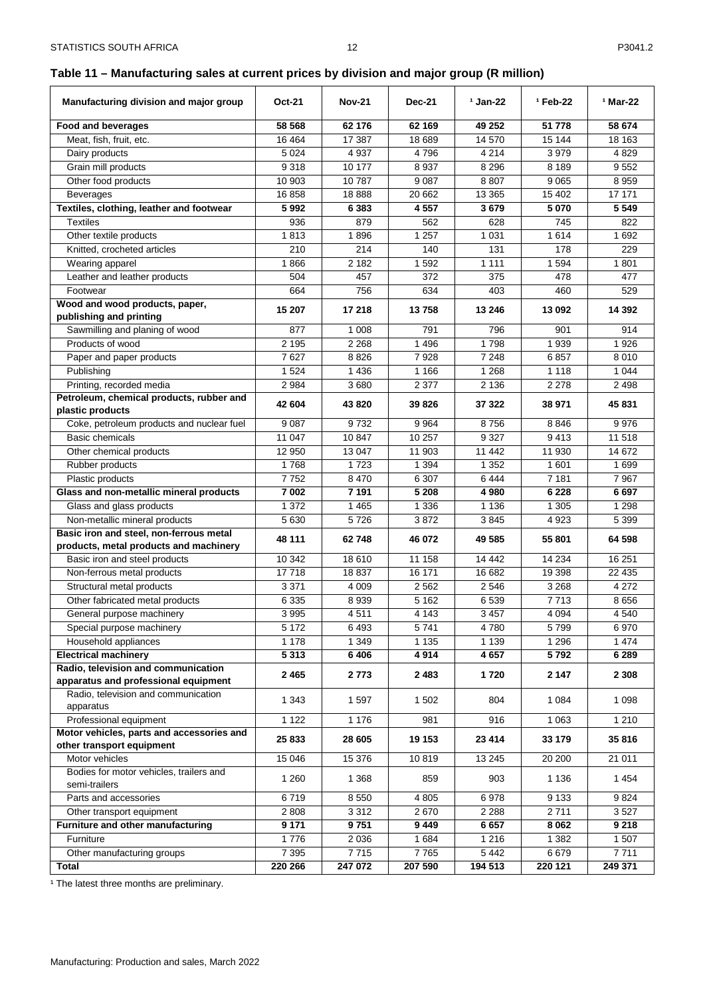# <span id="page-12-0"></span>**Table 11 – Manufacturing sales at current prices by division and major group (R million)**

| Manufacturing division and major group                                 | <b>Oct-21</b>    | <b>Nov-21</b>   | <b>Dec-21</b>     | $1$ Jan-22         | <sup>1</sup> Feb-22 | <sup>1</sup> Mar-22 |
|------------------------------------------------------------------------|------------------|-----------------|-------------------|--------------------|---------------------|---------------------|
| <b>Food and beverages</b>                                              | 58 568           | 62 176          | 62 169            | 49 25 2            | 51 778              | 58 674              |
| Meat, fish, fruit, etc.                                                | 16 4 64          | 17 387          | 18 689            | 14 570             | 15 144              | 18 163              |
| Dairy products                                                         | 5 0 24           | 4 9 3 7         | 4796              | 4 2 1 4            | 3979                | 4 8 2 9             |
| Grain mill products                                                    | 9318             | 10 177          | 8937              | 8 2 9 6            | 8 1 8 9             | 9552                |
| Other food products                                                    | 10 903           | 10787           | 9087              | 8807               | 9 0 6 5             | 8959                |
| <b>Beverages</b>                                                       | 16858            | 18888           | 20 662            | 13 3 65            | 15 402              | 17 171              |
| Textiles, clothing, leather and footwear                               | 5992             | 6 3 8 3         | 4 5 5 7           | 3679               | 5 0 7 0             | 5 5 4 9             |
| <b>Textiles</b>                                                        | 936              | 879             | 562               | 628                | 745                 | 822                 |
| Other textile products                                                 | 1813             | 1896            | 1 2 5 7           | 1 0 3 1            | 1614                | 1692                |
| Knitted, crocheted articles                                            | 210              | 214             | 140               | 131                | 178                 | 229                 |
| Wearing apparel                                                        | 1866             | 2 1 8 2         | 1592              | 1 1 1 1            | 1 5 9 4             | 1801                |
| Leather and leather products                                           | 504              | 457             | 372               | 375                | 478                 | 477                 |
| Footwear                                                               | 664              | 756             | 634               | 403                | 460                 | 529                 |
| Wood and wood products, paper,                                         | 15 207           | 17 218          | 13758             | 13 246             | 13 092              | 14 392              |
| publishing and printing<br>Sawmilling and planing of wood              | 877              | 1 0 0 8         | 791               | 796                | 901                 | 914                 |
| Products of wood                                                       | 2 1 9 5          | 2 2 6 8         | 1496              | 1798               | 1939                | 1926                |
| Paper and paper products                                               | 7627             | 8826            | 7928              | 7 2 4 8            | 6857                | 8010                |
| Publishing                                                             | 1 5 2 4          | 1 4 3 6         | 1 1 6 6           | 1 2 6 8            | 1 1 1 8             | 1 0 4 4             |
| Printing, recorded media                                               | 2 9 8 4          | 3680            | 2 3 7 7           | 2 1 3 6            | 2 2 7 8             | 2498                |
| Petroleum, chemical products, rubber and                               |                  |                 |                   |                    |                     |                     |
| plastic products                                                       | 42 604           | 43 820          | 39 826            | 37 322             | 38 971              | 45 831              |
| Coke, petroleum products and nuclear fuel                              | 9 0 8 7          | 9732            | 9964              | 8756               | 8846                | 9976                |
| Basic chemicals                                                        | 11 047           | 10 847          | 10 257            | 9 3 2 7            | 9413                | 11 518              |
| Other chemical products                                                | 12 950           | 13 047          | 11 903            | 11 442             | 11 930              | 14 672              |
| Rubber products                                                        | 1768             | 1723            | 1 3 9 4           | 1 3 5 2            | 1 601               | 1699                |
| Plastic products                                                       | 7752             | 8 4 7 0         | 6 3 0 7           | 6444               | 7 181               | 7967                |
| Glass and non-metallic mineral products                                | 7 002            | 7 1 9 1         | 5 2 0 8           | 4 980              | 6 2 2 8             | 6697                |
| Glass and glass products                                               | 1 3 7 2          | 1 4 6 5         | 1 3 3 6           | 1 1 3 6            | 1 3 0 5             | 1 2 9 8             |
| Non-metallic mineral products                                          | 5 6 3 0          | 5726            | 3872              | 3845               | 4923                | 5 3 9 9             |
| Basic iron and steel, non-ferrous metal                                | 48 111           | 62748           | 46 072            | 49 585             | 55 801              | 64 598              |
| products, metal products and machinery                                 |                  |                 |                   |                    |                     |                     |
| Basic iron and steel products                                          | 10 342           | 18 610<br>18837 | 11 158            | 14 4 42            | 14 234              | 16 251              |
| Non-ferrous metal products                                             | 17718<br>3 3 7 1 | 4 0 0 9         | 16 171<br>2 5 6 2 | 16 682<br>2 5 4 6  | 19 398<br>3 2 6 8   | 22 435<br>4 2 7 2   |
| Structural metal products<br>Other fabricated metal products           | 6 3 3 5          | 8939            | 5 1 6 2           | 6539               | 7713                | 8656                |
|                                                                        | 3 9 9 5          | 4511            | 4 1 4 3           | 3 4 5 7            | 4 0 9 4             | 4 5 4 0             |
| General purpose machinery<br>Special purpose machinery                 | 5 1 7 2          | 6493            | 5 741             | 4780               | 5799                | 6970                |
| Household appliances                                                   | 1 1 7 8          | 1 3 4 9         | 1 1 3 5           | 1 1 3 9            | 1 2 9 6             | 1 4 7 4             |
| <b>Electrical machinery</b>                                            | 5313             | 6406            | 4914              | 4 6 5 7            | 5792                | 6 2 8 9             |
| Radio, television and communication                                    |                  |                 |                   |                    |                     |                     |
| apparatus and professional equipment                                   | 2 4 6 5          | 2 773           | 2483              | 1720               | 2 1 4 7             | 2 3 0 8             |
| Radio, television and communication                                    | 1 3 4 3          | 1597            |                   | 804                | 1 0 8 4             | 1 0 9 8             |
| apparatus                                                              |                  |                 | 1 502             |                    |                     |                     |
| Professional equipment                                                 | 1 1 2 2          | 1 1 7 6         | 981               | 916                | 1 0 6 3             | 1 2 1 0             |
| Motor vehicles, parts and accessories and<br>other transport equipment | 25 833           | 28 605          | 19 153            | 23 414             | 33 179              | 35816               |
| Motor vehicles                                                         | 15 046           | 15 376          | 10819             | 13 245             | 20 200              | 21 011              |
| Bodies for motor vehicles, trailers and                                | 1 2 6 0          | 1 3 6 8         | 859               | 903                | 1 1 3 6             | 1 4 5 4             |
| semi-trailers                                                          |                  |                 |                   |                    |                     |                     |
| Parts and accessories                                                  | 6719             | 8 5 5 0         | 4 8 0 5           | 6978               | 9 1 3 3             | 9824                |
| Other transport equipment                                              | 2 8 0 8          | 3 3 1 2         | 2670              | 2 2 8 8            | 2711                | 3527                |
| Furniture and other manufacturing                                      | 9 1 7 1          | 9751            | 9449              | 6657               | 8 0 6 2             | 9 2 1 8             |
| Furniture                                                              | 1776<br>7 3 9 5  | 2 0 3 6         | 1684<br>7765      | 1 2 1 6<br>5 4 4 2 | 1 3 8 2             | 1507                |
| Other manufacturing groups<br>Total                                    | 220 266          | 7715<br>247 072 | 207 590           | 194 513            | 6679<br>220 121     | 7711<br>249 371     |
|                                                                        |                  |                 |                   |                    |                     |                     |

<sup>1</sup> The latest three months are preliminary.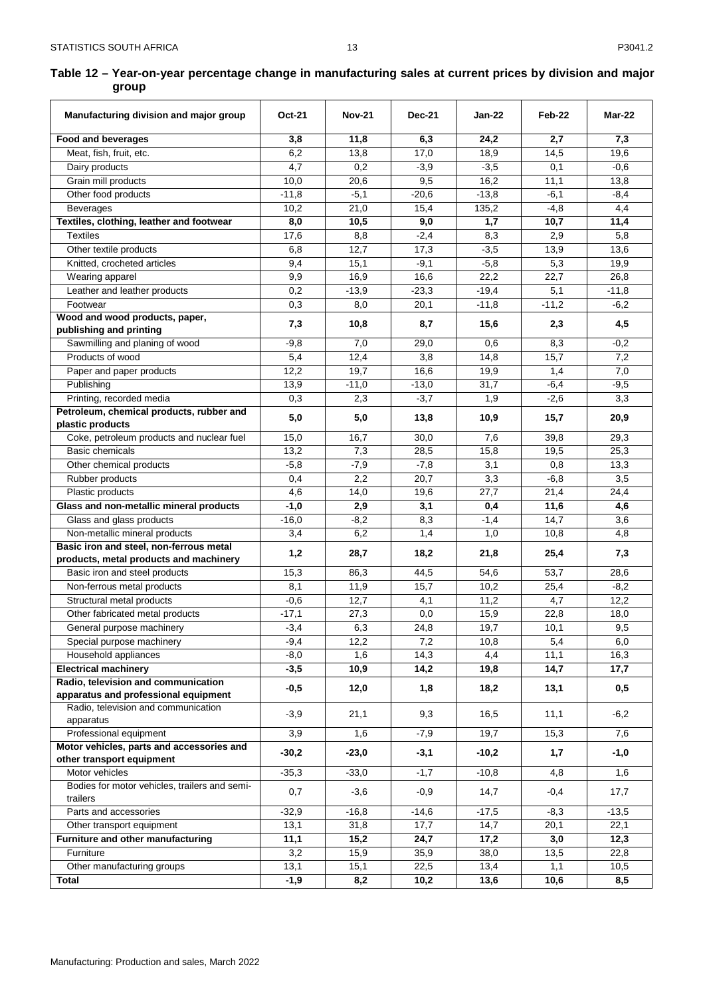# <span id="page-13-0"></span>**Table 12 – Year-on-year percentage change in manufacturing sales at current prices by division and major group**

| Manufacturing division and major group                       | <b>Oct-21</b>  | <b>Nov-21</b>     | <b>Dec-21</b>    | <b>Jan-22</b> | Feb-22        | Mar-22         |
|--------------------------------------------------------------|----------------|-------------------|------------------|---------------|---------------|----------------|
| <b>Food and beverages</b>                                    | 3,8            | 11,8              | 6,3              | 24,2          | 2,7           | 7,3            |
| Meat, fish, fruit, etc.                                      | 6,2            | 13,8              | 17,0             | 18,9          | 14,5          | 19,6           |
| Dairy products                                               | 4,7            | 0,2               | $-3,9$           | $-3,5$        | 0,1           | $-0.6$         |
| Grain mill products                                          | 10,0           | 20,6              | 9,5              | 16,2          | 11,1          | 13,8           |
| Other food products                                          | $-11,8$        | $-5,1$            | $-20,6$          | $-13,8$       | $-6,1$        | $-8,4$         |
| <b>Beverages</b>                                             | 10,2           | 21,0              | 15,4             | 135,2         | $-4,8$        | 4,4            |
| Textiles, clothing, leather and footwear                     | 8,0            | 10,5              | 9,0              | 1,7           | 10,7          | 11,4           |
| <b>Textiles</b>                                              | 17,6           | 8,8               | $-2,4$           | 8,3           | 2,9           | 5,8            |
| Other textile products                                       | 6,8            | 12,7              | 17,3             | $-3,5$        | 13,9          | 13,6           |
| Knitted, crocheted articles                                  | 9,4            | 15,1              | $-9,1$           | $-5,8$        | 5,3           | 19,9           |
| Wearing apparel                                              | 9,9            | 16,9              | 16,6             | 22,2          | 22,7          | 26,8           |
| Leather and leather products                                 | 0,2            | $-13,9$           | $-23,3$          | $-19,4$       | 5,1           | $-11,8$        |
| Footwear                                                     | 0,3            | 8,0               | 20,1             | $-11,8$       | $-11,2$       | $-6,2$         |
| Wood and wood products, paper,<br>publishing and printing    | 7,3            | 10,8              | 8,7              | 15,6          | 2,3           | 4,5            |
| Sawmilling and planing of wood                               | $-9,8$         | 7,0               | 29,0             | 0,6           | 8,3           | $-0,2$         |
| Products of wood                                             | 5,4            | 12,4              | 3,8              | 14,8          | 15,7          | 7,2            |
| Paper and paper products                                     | 12,2           | 19,7              | 16,6             | 19,9          | 1,4           | 7,0            |
| Publishing                                                   | 13,9           | $-11,0$           | $-13,0$          | 31,7          | $-6,4$        | $-9,5$         |
| Printing, recorded media                                     | 0,3            | 2,3               | $-3,7$           | 1,9           | $-2,6$        | 3,3            |
| Petroleum, chemical products, rubber and<br>plastic products | 5,0            | 5,0               | 13,8             | 10,9          | 15,7          | 20,9           |
| Coke, petroleum products and nuclear fuel                    | 15,0           | 16,7              | 30,0             | 7,6           | 39,8          | 29,3           |
| Basic chemicals                                              | 13,2           | 7,3               | 28,5             | 15,8          | 19,5          | 25,3           |
| Other chemical products                                      | $-5,8$         | $-7,9$            | $-7,8$           | 3,1           | 0,8           | 13,3           |
| Rubber products                                              | 0,4            | 2,2               | 20,7             | 3,3           | $-6,8$        | 3,5            |
| Plastic products                                             | 4,6            | 14,0              | 19,6             | 27,7          | 21,4          | 24,4           |
| Glass and non-metallic mineral products                      | $-1,0$         | 2,9               | 3,1              | 0,4           | 11,6          | 4,6            |
| Glass and glass products                                     | $-16,0$        | $-8,2$            | 8,3              | $-1,4$        | 14,7          | 3,6            |
| Non-metallic mineral products                                | 3,4            | 6,2               | 1,4              | 1,0           | 10,8          | 4,8            |
| Basic iron and steel, non-ferrous metal                      | 1,2            | 28,7              | 18,2             | 21,8          | 25,4          | 7,3            |
| products, metal products and machinery                       |                |                   |                  |               |               |                |
| Basic iron and steel products                                | 15,3           | 86,3              | 44,5             | 54,6<br>10,2  | 53,7          | 28,6           |
| Non-ferrous metal products<br>Structural metal products      | 8,1<br>$-0,6$  | 11,9<br>12,7      | 15,7<br>4,1      | 11,2          | 25,4<br>4,7   | $-8,2$<br>12,2 |
| Other fabricated metal products                              | $-17,1$        | 27,3              | 0,0              | 15,9          | 22,8          | 18,0           |
|                                                              | $-3,4$         | 6,3               | 24,8             | 19,7          | 10,1          | 9,5            |
| General purpose machinery<br>Special purpose machinery       | $-9,4$         | 12,2              | 7,2              | 10,8          | 5,4           | 6,0            |
| Household appliances                                         | $-8,0$         | 1,6               | 14,3             | 4,4           | 11,1          | 16,3           |
| <b>Electrical machinery</b>                                  | $-3,5$         | 10,9              | 14,2             | 19,8          | 14,7          | 17,7           |
| Radio, television and communication                          |                |                   |                  |               |               |                |
| apparatus and professional equipment                         | $-0,5$         | 12,0              | 1,8              | 18,2          | 13,1          | 0,5            |
| Radio, television and communication                          | $-3,9$         | 21,1              | 9,3              | 16,5          | 11,1          | $-6,2$         |
| apparatus<br>Professional equipment                          | 3,9            | 1,6               | $-7,9$           | 19,7          | 15,3          | 7,6            |
| Motor vehicles, parts and accessories and                    | $-30,2$        | $-23,0$           | $-3,1$           | $-10,2$       | 1,7           | $-1,0$         |
| other transport equipment<br>Motor vehicles                  |                |                   |                  | $-10,8$       |               |                |
| Bodies for motor vehicles, trailers and semi-                | $-35,3$<br>0,7 | $-33,0$<br>$-3,6$ | $-1,7$<br>$-0,9$ | 14,7          | 4,8<br>$-0,4$ | 1,6<br>17,7    |
| trailers                                                     |                |                   |                  |               |               |                |
| Parts and accessories                                        | $-32,9$        | $-16,8$           | $-14,6$          | $-17,5$       | $-8,3$        | $-13,5$        |
| Other transport equipment                                    | 13,1           | 31,8              | 17,7             | 14,7          | 20,1          | 22,1           |
| Furniture and other manufacturing                            | 11,1           | 15,2              | 24,7             | 17,2          | 3,0           | 12,3           |
| Furniture<br>Other manufacturing groups                      | 3,2<br>13,1    | 15,9<br>15,1      | 35,9<br>22,5     | 38,0<br>13,4  | 13,5<br>1,1   | 22,8<br>10,5   |
| <b>Total</b>                                                 | $-1,9$         | 8,2               | 10,2             | 13,6          | 10,6          | 8,5            |
|                                                              |                |                   |                  |               |               |                |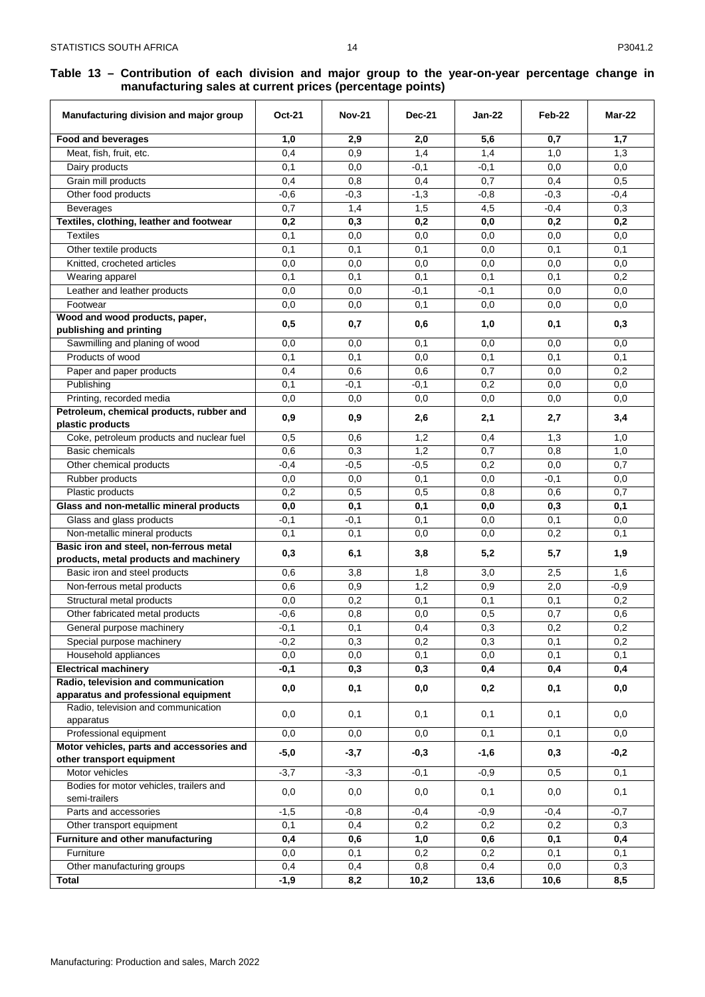#### <span id="page-14-0"></span>**Table 13 – Contribution of each division and major group to the year-on-year percentage change in manufacturing sales at current prices (percentage points)**

| Manufacturing division and major group                             | <b>Oct-21</b> | <b>Nov-21</b> | <b>Dec-21</b> | Jan-22     | Feb-22     | Mar-22     |
|--------------------------------------------------------------------|---------------|---------------|---------------|------------|------------|------------|
| <b>Food and beverages</b>                                          | 1,0           | 2,9           | 2,0           | 5,6        | 0,7        | 1,7        |
| Meat, fish, fruit, etc.                                            | 0,4           | 0,9           | 1,4           | 1,4        | 1,0        | 1,3        |
| Dairy products                                                     | 0,1           | 0,0           | $-0,1$        | $-0,1$     | 0,0        | 0,0        |
| Grain mill products                                                | 0,4           | 0,8           | 0,4           | 0,7        | 0,4        | 0,5        |
| Other food products                                                | $-0,6$        | $-0,3$        | $-1,3$        | $-0,8$     | $-0,3$     | $-0,4$     |
| Beverages                                                          | 0,7           | 1,4           | 1,5           | 4,5        | $-0,4$     | 0,3        |
| Textiles, clothing, leather and footwear                           | 0,2           | 0,3           | 0,2           | 0,0        | 0,2        | 0,2        |
| <b>Textiles</b>                                                    | 0,1           | 0,0           | 0,0           | 0,0        | 0,0        | 0,0        |
| Other textile products                                             | 0,1           | 0,1           | 0,1           | 0,0        | 0,1        | 0,1        |
| Knitted, crocheted articles                                        | 0,0           | 0,0           | 0,0           | 0,0        | 0,0        | 0,0        |
| Wearing apparel                                                    | 0,1           | 0,1           | 0,1           | 0,1        | 0,1        | 0,2        |
| Leather and leather products                                       | 0,0           | 0,0           | -0.1          | $-0,1$     | 0,0        | 0,0        |
| Footwear                                                           | 0,0           | 0,0           | 0,1           | 0,0        | 0,0        | 0,0        |
| Wood and wood products, paper,                                     | 0,5           | 0,7           | 0,6           | 1,0        | 0,1        | 0,3        |
| publishing and printing<br>Sawmilling and planing of wood          | 0,0           |               |               |            |            |            |
| Products of wood                                                   | 0,1           | 0,0<br>0,1    | 0,1<br>0,0    | 0,0<br>0,1 | 0,0<br>0,1 | 0,0<br>0,1 |
|                                                                    | 0,4           | 0,6           | 0,6           | 0,7        | 0,0        | 0,2        |
| Paper and paper products<br>Publishing                             | 0,1           | $-0,1$        | $-0,1$        | 0,2        | 0,0        | 0,0        |
| Printing, recorded media                                           | 0,0           | 0,0           | 0,0           | 0,0        | 0,0        | 0,0        |
| Petroleum, chemical products, rubber and                           |               |               |               |            |            |            |
| plastic products                                                   | 0,9           | 0,9           | 2,6           | 2,1        | 2,7        | 3,4        |
| Coke, petroleum products and nuclear fuel                          | 0,5           | 0,6           | 1,2           | 0,4        | 1,3        | 1,0        |
| <b>Basic chemicals</b>                                             | 0,6           | 0,3           | 1,2           | 0,7        | 0,8        | 1,0        |
| Other chemical products                                            | $-0.4$        | $-0,5$        | $-0,5$        | 0,2        | 0,0        | 0,7        |
| Rubber products                                                    | 0,0           | 0,0           | 0,1           | 0,0        | $-0,1$     | 0,0        |
| Plastic products                                                   | 0,2           | 0,5           | 0,5           | 0,8        | 0,6        | 0,7        |
| Glass and non-metallic mineral products                            | 0,0           | 0,1           | 0,1           | 0,0        | 0,3        | 0,1        |
| Glass and glass products                                           | $-0,1$        | $-0,1$        | 0,1           | 0,0        | 0,1        | 0,0        |
| Non-metallic mineral products                                      | 0,1           | 0,1           | 0,0           | 0,0        | 0,2        | 0,1        |
| Basic iron and steel, non-ferrous metal                            | 0,3           | 6,1           | 3,8           | 5,2        | 5,7        | 1,9        |
| products, metal products and machinery                             |               |               |               |            |            |            |
| Basic iron and steel products                                      | 0,6           | 3,8           | 1,8           | 3,0        | 2,5        | 1,6        |
| Non-ferrous metal products                                         | 0,6           | 0,9           | 1,2           | 0,9        | 2,0        | $-0,9$     |
| Structural metal products                                          | 0,0           | 0,2           | 0,1           | 0,1        | 0,1        | 0,2        |
| Other fabricated metal products                                    | $-0,6$        | 0,8           | 0,0           | 0,5        | 0,7        | 0,6        |
| General purpose machinery                                          | $-0,1$        | 0,1           | 0,4           | 0,3        | 0,2        | 0,2        |
| Special purpose machinery                                          | $-0,2$        | 0,3           | 0,2           | 0,3        | 0,1        | 0,2        |
| Household appliances                                               | 0,0           | 0,0           | 0,1           | 0,0        | 0,1        | 0,1        |
| <b>Electrical machinery</b><br>Radio, television and communication | $-0,1$        | 0,3           | 0,3           | 0,4        | 0,4        | 0,4        |
| apparatus and professional equipment                               | 0,0           | 0,1           | 0,0           | 0,2        | 0,1        | 0,0        |
| Radio, television and communication<br>apparatus                   | 0,0           | 0,1           | 0,1           | 0,1        | 0,1        | 0,0        |
| Professional equipment                                             | 0,0           | 0,0           | 0,0           | 0,1        | 0,1        | 0,0        |
| Motor vehicles, parts and accessories and                          | $-5,0$        | $-3,7$        | $-0,3$        | $-1,6$     | 0,3        | $-0,2$     |
| other transport equipment                                          |               |               |               |            |            |            |
| Motor vehicles                                                     | $-3,7$        | $-3,3$        | $-0,1$        | $-0,9$     | 0,5        | 0,1        |
| Bodies for motor vehicles, trailers and<br>semi-trailers           | 0,0           | 0,0           | 0,0           | 0,1        | 0,0        | 0,1        |
| Parts and accessories                                              | $-1,5$        | $-0,8$        | $-0,4$        | $-0,9$     | $-0,4$     | $-0,7$     |
| Other transport equipment                                          | 0,1           | 0,4           | 0,2           | 0,2        | 0,2        | 0,3        |
| Furniture and other manufacturing                                  | 0,4           | 0,6           | 1,0           | 0,6        | 0,1        | 0,4        |
| Furniture                                                          | 0,0           | 0,1           | 0,2           | 0,2        | 0,1        | 0,1        |
| Other manufacturing groups                                         | 0,4           | 0,4           | 0,8           | 0,4        | 0,0        | 0,3        |
| Total                                                              | $-1,9$        | 8,2           | 10,2          | 13,6       | 10,6       | 8,5        |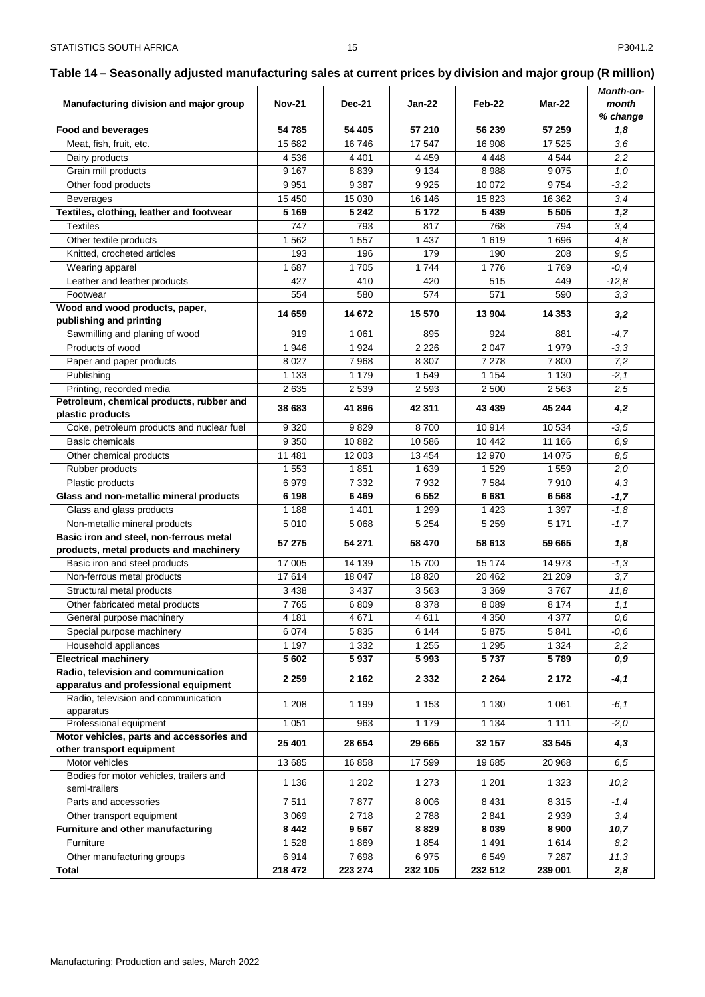# <span id="page-15-0"></span>**Table 14 – Seasonally adjusted manufacturing sales at current prices by division and major group (R million)**

| Manufacturing division and major group                                      | <b>Nov-21</b> | <b>Dec-21</b> | Jan-22  | Feb-22  | Mar-22   | Month-on-<br>month |
|-----------------------------------------------------------------------------|---------------|---------------|---------|---------|----------|--------------------|
|                                                                             |               |               |         |         |          | % change           |
| Food and beverages                                                          | 54 785        | 54 405        | 57 210  | 56 239  | 57 259   | 1,8                |
| Meat, fish, fruit, etc.                                                     | 15 682        | 16746         | 17 547  | 16 908  | 17 525   | 3,6                |
| Dairy products                                                              | 4536          | 4 4 0 1       | 4 4 5 9 | 4 4 4 8 | 4 5 4 4  | 2,2                |
| Grain mill products                                                         | 9 1 6 7       | 8839          | 9 1 3 4 | 8988    | 9075     | 1,0                |
| Other food products                                                         | 9951          | 9 3 8 7       | 9925    | 10 072  | 9754     | $-3,2$             |
| <b>Beverages</b>                                                            | 15 450        | 15 030        | 16 14 6 | 15823   | 16 362   | 3,4                |
| Textiles, clothing, leather and footwear                                    | 5 1 6 9       | 5 2 4 2       | 5 1 7 2 | 5 4 3 9 | 5 5 0 5  | 1,2                |
| <b>Textiles</b>                                                             | 747           | 793           | 817     | 768     | 794      | 3,4                |
| Other textile products                                                      | 1562          | 1557          | 1 4 3 7 | 1619    | 1 6 9 6  | 4,8                |
| Knitted, crocheted articles                                                 | 193           | 196           | 179     | 190     | 208      | 9.5                |
| Wearing apparel                                                             | 1687          | 1705          | 1744    | 1776    | 1769     | $-0,4$             |
| Leather and leather products                                                | 427           | 410           | 420     | 515     | 449      | $-12,8$            |
| Footwear                                                                    | 554           | 580           | 574     | 571     | 590      | 3,3                |
| Wood and wood products, paper,<br>publishing and printing                   | 14 659        | 14 672        | 15 570  | 13 904  | 14 3 5 3 | 3,2                |
| Sawmilling and planing of wood                                              | 919           | 1 0 6 1       | 895     | 924     | 881      | $-4,7$             |
| Products of wood                                                            | 1946          | 1924          | 2 2 2 6 | 2 0 4 7 | 1979     | $-3,3$             |
| Paper and paper products                                                    | 8 0 27        | 7968          | 8 3 0 7 | 7 2 7 8 | 7800     | 7,2                |
| Publishing                                                                  | 1 1 3 3       | 1 1 7 9       | 1 5 4 9 | 1 1 5 4 | 1 1 3 0  | $-2,1$             |
| Printing, recorded media                                                    | 2635          | 2 5 3 9       | 2 5 9 3 | 2 500   | 2 5 6 3  | 2,5                |
| Petroleum, chemical products, rubber and                                    |               |               |         |         |          |                    |
| plastic products                                                            | 38 683        | 41896         | 42 311  | 43 439  | 45 244   | 4,2                |
| Coke, petroleum products and nuclear fuel                                   | 9 3 2 0       | 9829          | 8700    | 10 914  | 10 534   | $-3,5$             |
| <b>Basic chemicals</b>                                                      | 9 3 5 0       | 10 882        | 10 586  | 10 442  | 11 166   | 6,9                |
| Other chemical products                                                     | 11 481        | 12 003        | 13 4 54 | 12 970  | 14 0 75  | 8,5                |
| Rubber products                                                             | 1 5 5 3       | 1851          | 1 6 3 9 | 1 5 2 9 | 1 5 5 9  | 2,0                |
| Plastic products                                                            | 6979          | 7 3 3 2       | 7932    | 7584    | 7910     | 4,3                |
| Glass and non-metallic mineral products                                     | 6 1 9 8       | 6469          | 6 5 5 2 | 6681    | 6568     | $-1,7$             |
| Glass and glass products                                                    | 1 1 8 8       | 1 4 0 1       | 1 2 9 9 | 1 4 2 3 | 1 3 9 7  | $-1,8$             |
| Non-metallic mineral products                                               | 5 0 1 0       | 5 0 68        | 5 2 5 4 | 5 2 5 9 | 5 1 7 1  | $-1,7$             |
| Basic iron and steel, non-ferrous metal                                     | 57 275        | 54 271        | 58 470  | 58 613  | 59 665   | 1,8                |
| products, metal products and machinery                                      |               |               |         |         |          |                    |
| Basic iron and steel products                                               | 17 005        | 14 139        | 15700   | 15 174  | 14 973   | $-1,3$             |
| Non-ferrous metal products                                                  | 17614         | 18 047        | 18820   | 20 462  | 21 209   | 3,7                |
| Structural metal products                                                   | 3 4 3 8       | 3 4 3 7       | 3563    | 3 3 6 9 | 3767     | 11,8               |
| Other fabricated metal products                                             | 7765          | 6809          | 8 3 7 8 | 8 0 8 9 | 8 1 7 4  | 1, 1               |
| General purpose machinery                                                   | 4 181         | 4671          | 4611    | 4 3 5 0 | 4 3 7 7  | 0,6                |
| Special purpose machinery                                                   | 6 0 7 4       | 5835          | 6 144   | 5875    | 5841     | $-0.6$             |
| Household appliances                                                        | 1 1 9 7       | 1 3 3 2       | 1 2 5 5 | 1 2 9 5 | 1 3 2 4  | 2,2                |
| <b>Electrical machinery</b>                                                 | 5 602         | 5937          | 5993    | 5737    | 5789     | 0,9                |
| Radio, television and communication<br>apparatus and professional equipment | 2 2 5 9       | 2 1 6 2       | 2 3 3 2 | 2 2 6 4 | 2 1 7 2  | $-4,1$             |
| Radio, television and communication<br>apparatus                            | 1 2 0 8       | 1 1 9 9       | 1 1 5 3 | 1 1 3 0 | 1 0 6 1  | -6, 1              |
| Professional equipment                                                      | 1 0 5 1       | 963           | 1 1 7 9 | 1 1 3 4 | 1 1 1 1  | $-2,0$             |
| Motor vehicles, parts and accessories and                                   |               |               |         |         |          |                    |
| other transport equipment                                                   | 25 401        | 28 654        | 29 665  | 32 157  | 33 545   | 4,3                |
| Motor vehicles                                                              | 13 685        | 16858         | 17 599  | 19685   | 20 968   | 6,5                |
| Bodies for motor vehicles, trailers and<br>semi-trailers                    | 1 1 3 6       | 1 202         | 1 2 7 3 | 1 2 0 1 | 1 3 2 3  | 10,2               |
| Parts and accessories                                                       | 7511          | 7877          | 8 0 0 6 | 8 4 31  | 8 3 1 5  | $-1,4$             |
| Other transport equipment                                                   | 3 0 6 9       | 2718          | 2788    | 2841    | 2939     | 3,4                |
| Furniture and other manufacturing                                           | 8 4 4 2       | 9567          | 8829    | 8 0 3 9 | 8 9 0 0  | 10,7               |
| Furniture                                                                   | 1528          | 1869          | 1854    | 1491    | 1614     | 8,2                |
| Other manufacturing groups                                                  | 6914          | 7698          | 6975    | 6 5 4 9 | 7 2 8 7  | 11,3               |
| <b>Total</b>                                                                | 218 472       | 223 274       | 232 105 | 232 512 | 239 001  | 2,8                |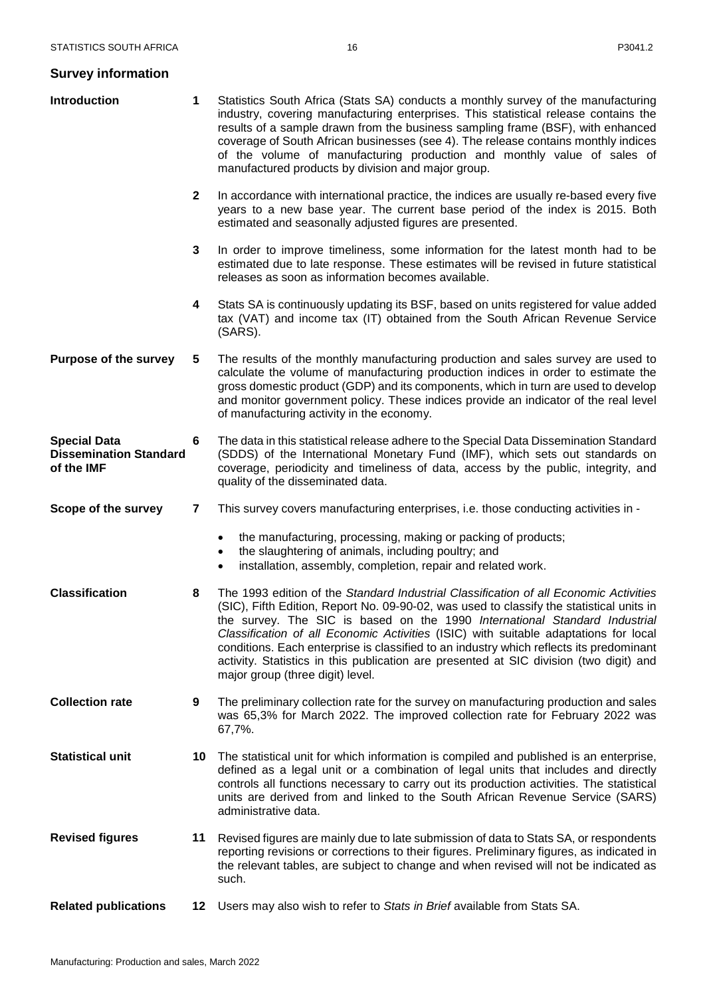# <span id="page-16-0"></span>**Survey information**

| Introduction                                                       | 1            | Statistics South Africa (Stats SA) conducts a monthly survey of the manufacturing<br>industry, covering manufacturing enterprises. This statistical release contains the<br>results of a sample drawn from the business sampling frame (BSF), with enhanced<br>coverage of South African businesses (see 4). The release contains monthly indices<br>of the volume of manufacturing production and monthly value of sales of<br>manufactured products by division and major group.                                                                                               |
|--------------------------------------------------------------------|--------------|----------------------------------------------------------------------------------------------------------------------------------------------------------------------------------------------------------------------------------------------------------------------------------------------------------------------------------------------------------------------------------------------------------------------------------------------------------------------------------------------------------------------------------------------------------------------------------|
|                                                                    | $\mathbf{2}$ | In accordance with international practice, the indices are usually re-based every five<br>years to a new base year. The current base period of the index is 2015. Both<br>estimated and seasonally adjusted figures are presented.                                                                                                                                                                                                                                                                                                                                               |
|                                                                    | 3            | In order to improve timeliness, some information for the latest month had to be<br>estimated due to late response. These estimates will be revised in future statistical<br>releases as soon as information becomes available.                                                                                                                                                                                                                                                                                                                                                   |
|                                                                    | 4            | Stats SA is continuously updating its BSF, based on units registered for value added<br>tax (VAT) and income tax (IT) obtained from the South African Revenue Service<br>(SARS).                                                                                                                                                                                                                                                                                                                                                                                                 |
| <b>Purpose of the survey</b>                                       | 5            | The results of the monthly manufacturing production and sales survey are used to<br>calculate the volume of manufacturing production indices in order to estimate the<br>gross domestic product (GDP) and its components, which in turn are used to develop<br>and monitor government policy. These indices provide an indicator of the real level<br>of manufacturing activity in the economy.                                                                                                                                                                                  |
| <b>Special Data</b><br><b>Dissemination Standard</b><br>of the IMF | 6            | The data in this statistical release adhere to the Special Data Dissemination Standard<br>(SDDS) of the International Monetary Fund (IMF), which sets out standards on<br>coverage, periodicity and timeliness of data, access by the public, integrity, and<br>quality of the disseminated data.                                                                                                                                                                                                                                                                                |
| Scope of the survey                                                | 7            | This survey covers manufacturing enterprises, i.e. those conducting activities in -                                                                                                                                                                                                                                                                                                                                                                                                                                                                                              |
|                                                                    |              | the manufacturing, processing, making or packing of products;<br>٠<br>the slaughtering of animals, including poultry; and<br>installation, assembly, completion, repair and related work.<br>$\bullet$                                                                                                                                                                                                                                                                                                                                                                           |
| <b>Classification</b>                                              | 8            | The 1993 edition of the Standard Industrial Classification of all Economic Activities<br>(SIC), Fifth Edition, Report No. 09-90-02, was used to classify the statistical units in<br>the survey. The SIC is based on the 1990 International Standard Industrial<br>Classification of all Economic Activities (ISIC) with suitable adaptations for local<br>conditions. Each enterprise is classified to an industry which reflects its predominant<br>activity. Statistics in this publication are presented at SIC division (two digit) and<br>major group (three digit) level. |
| <b>Collection rate</b>                                             | 9            | The preliminary collection rate for the survey on manufacturing production and sales<br>was 65,3% for March 2022. The improved collection rate for February 2022 was<br>67,7%.                                                                                                                                                                                                                                                                                                                                                                                                   |
| <b>Statistical unit</b>                                            | 10           | The statistical unit for which information is compiled and published is an enterprise,<br>defined as a legal unit or a combination of legal units that includes and directly<br>controls all functions necessary to carry out its production activities. The statistical<br>units are derived from and linked to the South African Revenue Service (SARS)<br>administrative data.                                                                                                                                                                                                |
| <b>Revised figures</b>                                             | 11           | Revised figures are mainly due to late submission of data to Stats SA, or respondents<br>reporting revisions or corrections to their figures. Preliminary figures, as indicated in<br>the relevant tables, are subject to change and when revised will not be indicated as<br>such.                                                                                                                                                                                                                                                                                              |
| <b>Related publications</b>                                        | 12           | Users may also wish to refer to Stats in Brief available from Stats SA.                                                                                                                                                                                                                                                                                                                                                                                                                                                                                                          |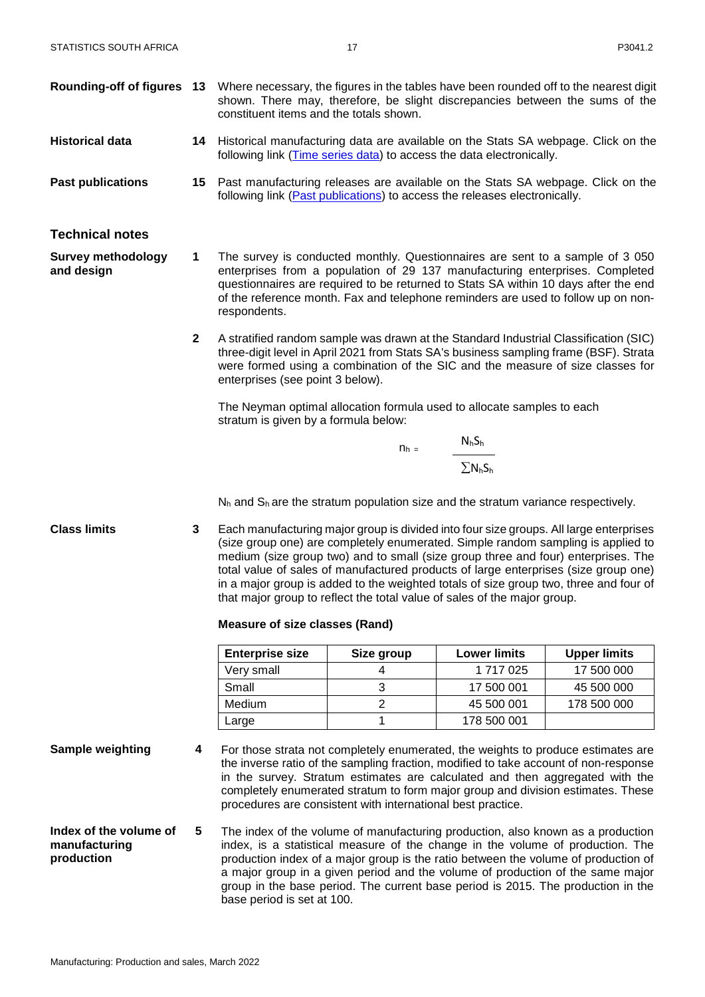- **Rounding-off of figures 13** Where necessary, the figures in the tables have been rounded off to the nearest digit shown. There may, therefore, be slight discrepancies between the sums of the constituent items and the totals shown.
- **Historical data 14** Historical manufacturing data are available on the Stats SA webpage. Click on the following link [\(Time series data\)](http://www.statssa.gov.za/?page_id=1417#time-series-data) to access the data electronically.
- **Past publications 15** Past manufacturing releases are available on the Stats SA webpage. Click on the following link [\(Past publications\)](http://www.statssa.gov.za/?page_id=1866&PPN=P3041.2&SCH=6126) to access the releases electronically.

#### <span id="page-17-0"></span>**Technical notes**

**Survey methodology and design**

**1** The survey is conducted monthly. Questionnaires are sent to a sample of 3 050 enterprises from a population of 29 137 manufacturing enterprises. Completed questionnaires are required to be returned to Stats SA within 10 days after the end of the reference month. Fax and telephone reminders are used to follow up on nonrespondents.

**2** A stratified random sample was drawn at the Standard Industrial Classification (SIC) three-digit level in April 2021 from Stats SA's business sampling frame (BSF). Strata were formed using a combination of the SIC and the measure of size classes for enterprises (see point 3 below).

The Neyman optimal allocation formula used to allocate samples to each stratum is given by a formula below:

$$
n_h = \frac{N_h S_h}{\sum N_h S_h}
$$

 $N_h$  and  $S_h$  are the stratum population size and the stratum variance respectively.

**Class limits 3** Each manufacturing major group is divided into four size groups. All large enterprises (size group one) are completely enumerated. Simple random sampling is applied to medium (size group two) and to small (size group three and four) enterprises. The total value of sales of manufactured products of large enterprises (size group one) in a major group is added to the weighted totals of size group two, three and four of that major group to reflect the total value of sales of the major group.

#### **Measure of size classes (Rand)**

| <b>Enterprise size</b> | Size group | <b>Lower limits</b> | <b>Upper limits</b> |
|------------------------|------------|---------------------|---------------------|
| Very small             |            | 1 717 025           | 17 500 000          |
| Small                  | 3          | 17 500 001          | 45 500 000          |
| Medium                 |            | 45 500 001          | 178 500 000         |
| Large                  |            | 178 500 001         |                     |

- 
- **Sample weighting 4** For those strata not completely enumerated, the weights to produce estimates are the inverse ratio of the sampling fraction, modified to take account of non-response in the survey. Stratum estimates are calculated and then aggregated with the completely enumerated stratum to form major group and division estimates. These procedures are consistent with international best practice.
- **Index of the volume of manufacturing production 5** The index of the volume of manufacturing production, also known as a production index, is a statistical measure of the change in the volume of production. The production index of a major group is the ratio between the volume of production of a major group in a given period and the volume of production of the same major group in the base period. The current base period is 2015. The production in the base period is set at 100.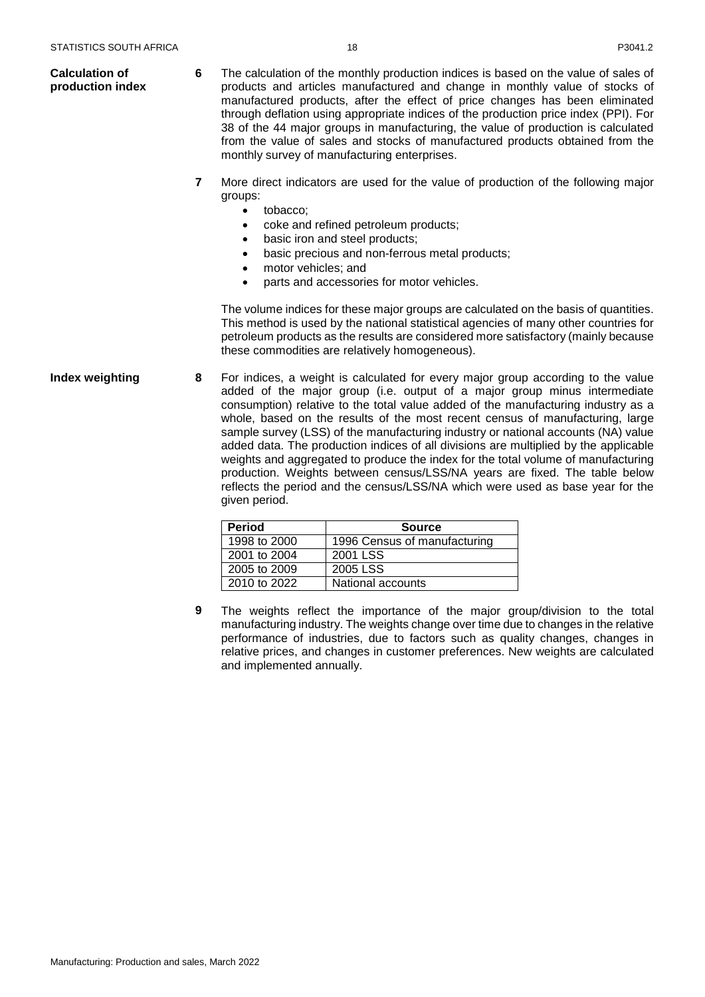- **Calculation of production index 6** The calculation of the monthly production indices is based on the value of sales of products and articles manufactured and change in monthly value of stocks of manufactured products, after the effect of price changes has been eliminated through deflation using appropriate indices of the production price index (PPI). For 38 of the 44 major groups in manufacturing, the value of production is calculated from the value of sales and stocks of manufactured products obtained from the monthly survey of manufacturing enterprises.
	- **7** More direct indicators are used for the value of production of the following major groups:
		- tobacco;
		- coke and refined petroleum products;
		- basic iron and steel products;
		- basic precious and non-ferrous metal products;
		- motor vehicles; and
		- parts and accessories for motor vehicles.

The volume indices for these major groups are calculated on the basis of quantities. This method is used by the national statistical agencies of many other countries for petroleum products as the results are considered more satisfactory (mainly because these commodities are relatively homogeneous).

**Index weighting <b>8** For indices, a weight is calculated for every major group according to the value added of the major group (i.e. output of a major group minus intermediate consumption) relative to the total value added of the manufacturing industry as a whole, based on the results of the most recent census of manufacturing, large sample survey (LSS) of the manufacturing industry or national accounts (NA) value added data. The production indices of all divisions are multiplied by the applicable weights and aggregated to produce the index for the total volume of manufacturing production. Weights between census/LSS/NA years are fixed. The table below reflects the period and the census/LSS/NA which were used as base year for the given period.

| <b>Period</b> | <b>Source</b>                |
|---------------|------------------------------|
| 1998 to 2000  | 1996 Census of manufacturing |
| 2001 to 2004  | 2001 LSS                     |
| 2005 to 2009  | 2005 LSS                     |
| 2010 to 2022  | National accounts            |

**9** The weights reflect the importance of the major group/division to the total manufacturing industry. The weights change over time due to changes in the relative performance of industries, due to factors such as quality changes, changes in relative prices, and changes in customer preferences. New weights are calculated and implemented annually.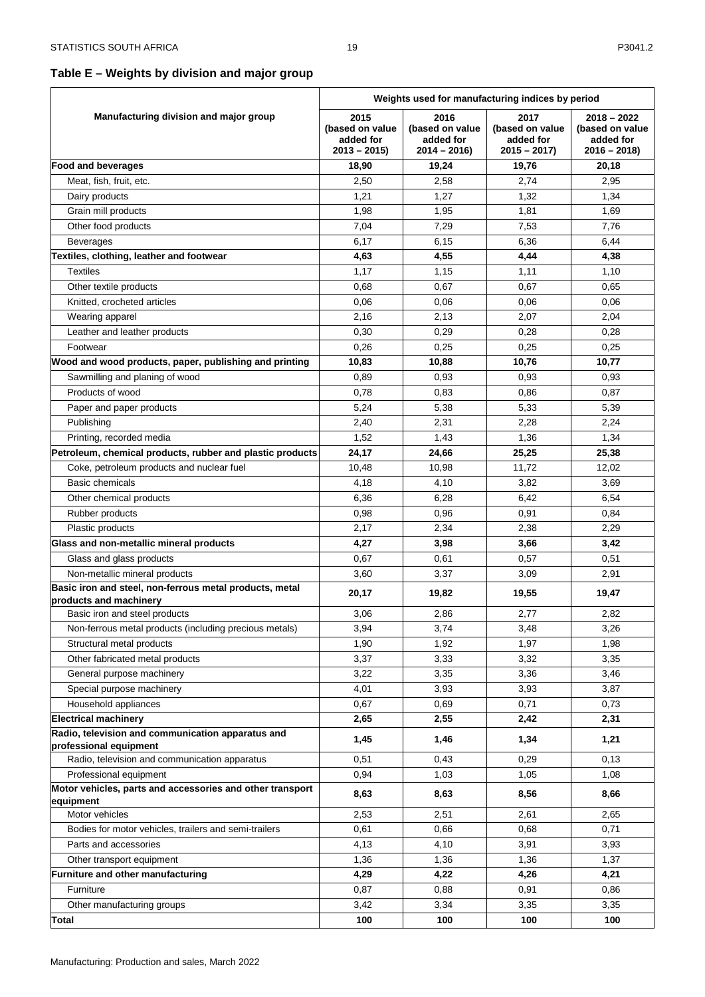# <span id="page-19-0"></span>**Table E – Weights by division and major group**

|                                                                                   | Weights used for manufacturing indices by period      |                                                       |                                                       |                                                                |
|-----------------------------------------------------------------------------------|-------------------------------------------------------|-------------------------------------------------------|-------------------------------------------------------|----------------------------------------------------------------|
| Manufacturing division and major group                                            | 2015<br>(based on value<br>added for<br>$2013 - 2015$ | 2016<br>(based on value<br>added for<br>$2014 - 2016$ | 2017<br>(based on value<br>added for<br>$2015 - 2017$ | $2018 - 2022$<br>(based on value<br>added for<br>$2016 - 2018$ |
| <b>Food and beverages</b>                                                         | 18,90                                                 | 19,24                                                 | 19,76                                                 | 20,18                                                          |
| Meat, fish, fruit, etc.                                                           | 2,50                                                  | 2,58                                                  | 2,74                                                  | 2,95                                                           |
| Dairy products                                                                    | 1,21                                                  | 1,27                                                  | 1,32                                                  | 1,34                                                           |
| Grain mill products                                                               | 1,98                                                  | 1,95                                                  | 1,81                                                  | 1,69                                                           |
| Other food products                                                               | 7,04                                                  | 7,29                                                  | 7,53                                                  | 7,76                                                           |
| <b>Beverages</b>                                                                  | 6,17                                                  | 6,15                                                  | 6,36                                                  | 6,44                                                           |
| Textiles, clothing, leather and footwear                                          | 4,63                                                  | 4,55                                                  | 4,44                                                  | 4,38                                                           |
| <b>Textiles</b>                                                                   | 1,17                                                  | 1,15                                                  | 1,11                                                  | 1,10                                                           |
| Other textile products                                                            | 0,68                                                  | 0,67                                                  | 0,67                                                  | 0,65                                                           |
| Knitted, crocheted articles                                                       | 0,06                                                  | 0,06                                                  | 0,06                                                  | 0,06                                                           |
| Wearing apparel                                                                   | 2,16                                                  | 2,13                                                  | 2,07                                                  | 2,04                                                           |
| Leather and leather products                                                      | 0,30                                                  | 0,29                                                  | 0,28                                                  | 0,28                                                           |
| Footwear                                                                          | 0,26                                                  | 0,25                                                  | 0,25                                                  | 0,25                                                           |
| Wood and wood products, paper, publishing and printing                            | 10,83                                                 | 10,88                                                 | 10,76                                                 | 10,77                                                          |
| Sawmilling and planing of wood                                                    | 0,89                                                  | 0,93                                                  | 0,93                                                  | 0,93                                                           |
| Products of wood                                                                  | 0,78                                                  | 0,83                                                  | 0,86                                                  | 0,87                                                           |
| Paper and paper products                                                          | 5,24                                                  | 5,38                                                  | 5,33                                                  | 5,39                                                           |
| Publishing                                                                        | 2,40                                                  | 2,31                                                  | 2,28                                                  | 2,24                                                           |
| Printing, recorded media                                                          | 1,52                                                  | 1,43                                                  | 1,36                                                  | 1,34                                                           |
| Petroleum, chemical products, rubber and plastic products                         | 24,17                                                 | 24,66                                                 | 25,25                                                 | 25,38                                                          |
| Coke, petroleum products and nuclear fuel                                         | 10,48                                                 | 10,98                                                 | 11,72                                                 | 12,02                                                          |
| <b>Basic chemicals</b>                                                            | 4,18                                                  | 4,10                                                  | 3,82                                                  | 3,69                                                           |
| Other chemical products                                                           | 6,36                                                  | 6,28                                                  | 6,42                                                  | 6,54                                                           |
| Rubber products                                                                   | 0,98                                                  | 0,96                                                  | 0,91                                                  | 0,84                                                           |
| Plastic products                                                                  | 2,17                                                  | 2,34                                                  | 2,38                                                  | 2,29                                                           |
| Glass and non-metallic mineral products                                           | 4,27                                                  | 3,98                                                  | 3,66                                                  | 3,42                                                           |
| Glass and glass products                                                          | 0,67                                                  | 0,61                                                  | 0,57                                                  | 0,51                                                           |
| Non-metallic mineral products                                                     | 3,60                                                  | 3,37                                                  | 3,09                                                  | 2,91                                                           |
| Basic iron and steel, non-ferrous metal products, metal<br>products and machinery | 20,17                                                 | 19,82                                                 | 19,55                                                 | 19,47                                                          |
| Basic iron and steel products                                                     | 3,06                                                  | 2,86                                                  | 2,77                                                  | 2,82                                                           |
| Non-ferrous metal products (including precious metals)                            | 3,94                                                  | 3,74                                                  | 3,48                                                  | 3,26                                                           |
| Structural metal products                                                         | 1,90                                                  | 1,92                                                  | 1,97                                                  | 1,98                                                           |
| Other fabricated metal products                                                   | 3,37                                                  | 3,33                                                  | 3,32                                                  | 3,35                                                           |
| General purpose machinery                                                         | 3,22                                                  | 3,35                                                  | 3,36                                                  | 3,46                                                           |
| Special purpose machinery                                                         | 4,01                                                  | 3,93                                                  | 3,93                                                  | 3,87                                                           |
| Household appliances                                                              | 0,67                                                  | 0,69                                                  | 0,71                                                  | 0,73                                                           |
| <b>Electrical machinery</b>                                                       | 2,65                                                  | 2,55                                                  | 2,42                                                  | 2,31                                                           |
| Radio, television and communication apparatus and<br>professional equipment       | 1,45                                                  | 1,46                                                  | 1,34                                                  | 1,21                                                           |
| Radio, television and communication apparatus                                     | 0,51                                                  | 0,43                                                  | 0,29                                                  | 0,13                                                           |
| Professional equipment                                                            | 0,94                                                  | 1,03                                                  | 1,05                                                  | 1,08                                                           |
| Motor vehicles, parts and accessories and other transport<br>equipment            | 8,63                                                  | 8,63                                                  | 8,56                                                  | 8,66                                                           |
| Motor vehicles                                                                    | 2,53                                                  | 2,51                                                  | 2,61                                                  | 2,65                                                           |
| Bodies for motor vehicles, trailers and semi-trailers                             | 0,61                                                  | 0,66                                                  | 0,68                                                  | 0,71                                                           |
| Parts and accessories                                                             | 4,13                                                  | 4,10                                                  | 3,91                                                  | 3,93                                                           |
| Other transport equipment                                                         | 1,36                                                  | 1,36                                                  | 1,36                                                  | 1,37                                                           |
| Furniture and other manufacturing                                                 | 4,29                                                  | 4,22                                                  | 4,26                                                  | 4,21                                                           |
| Furniture                                                                         | 0,87                                                  | 0,88                                                  | 0,91                                                  | 0,86                                                           |
| Other manufacturing groups                                                        | 3,42                                                  | 3,34                                                  | 3,35                                                  | 3,35                                                           |
| <b>Total</b>                                                                      | 100                                                   | 100                                                   | 100                                                   | 100                                                            |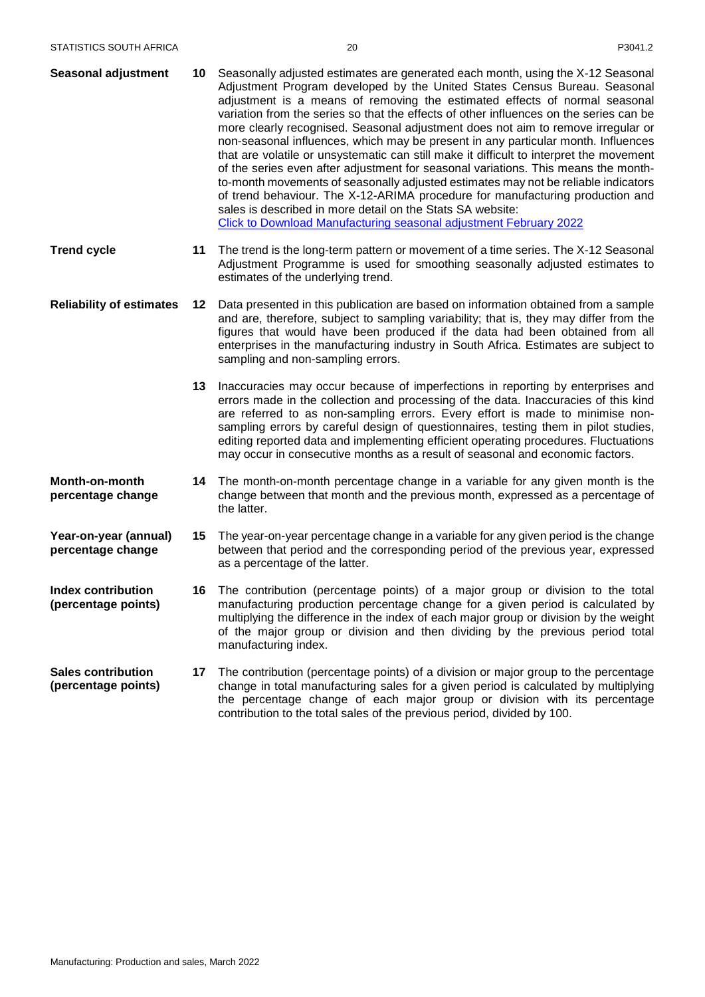| <b>Seasonal adjustment</b> | 10 - | Seasonally adjusted estimates are generated each month, using the X-12 Seasonal         |
|----------------------------|------|-----------------------------------------------------------------------------------------|
|                            |      | Adjustment Program developed by the United States Census Bureau. Seasonal               |
|                            |      | adjustment is a means of removing the estimated effects of normal seasonal              |
|                            |      | variation from the series so that the effects of other influences on the series can be  |
|                            |      | more clearly recognised. Seasonal adjustment does not aim to remove irregular or        |
|                            |      | non-seasonal influences, which may be present in any particular month. Influences       |
|                            |      | that are volatile or unsystematic can still make it difficult to interpret the movement |
|                            |      | of the series even after adjustment for seasonal variations. This means the month-      |
|                            |      | to-month movements of seasonally adjusted estimates may not be reliable indicators      |
|                            |      | of trend behaviour. The X-12-ARIMA procedure for manufacturing production and           |
|                            |      | sales is described in more detail on the Stats SA website:                              |
|                            |      | <b>Click to Download Manufacturing seasonal adjustment February 2022</b>                |

- **Trend cycle 11** The trend is the long-term pattern or movement of a time series. The X-12 Seasonal Adjustment Programme is used for smoothing seasonally adjusted estimates to estimates of the underlying trend.
- **Reliability of estimates 12** Data presented in this publication are based on information obtained from a sample and are, therefore, subject to sampling variability; that is, they may differ from the figures that would have been produced if the data had been obtained from all enterprises in the manufacturing industry in South Africa. Estimates are subject to sampling and non-sampling errors.
	- **13** Inaccuracies may occur because of imperfections in reporting by enterprises and errors made in the collection and processing of the data. Inaccuracies of this kind are referred to as non-sampling errors. Every effort is made to minimise nonsampling errors by careful design of questionnaires, testing them in pilot studies, editing reported data and implementing efficient operating procedures. Fluctuations may occur in consecutive months as a result of seasonal and economic factors.
- **Month-on-month percentage change 14** The month-on-month percentage change in a variable for any given month is the change between that month and the previous month, expressed as a percentage of the latter.
- **Year-on-year (annual) percentage change 15** The year-on-year percentage change in a variable for any given period is the change between that period and the corresponding period of the previous year, expressed as a percentage of the latter.
- **Index contribution (percentage points) 16** The contribution (percentage points) of a major group or division to the total manufacturing production percentage change for a given period is calculated by multiplying the difference in the index of each major group or division by the weight of the major group or division and then dividing by the previous period total manufacturing index.
- **Sales contribution (percentage points) 17** The contribution (percentage points) of a division or major group to the percentage change in total manufacturing sales for a given period is calculated by multiplying the percentage change of each major group or division with its percentage contribution to the total sales of the previous period, divided by 100.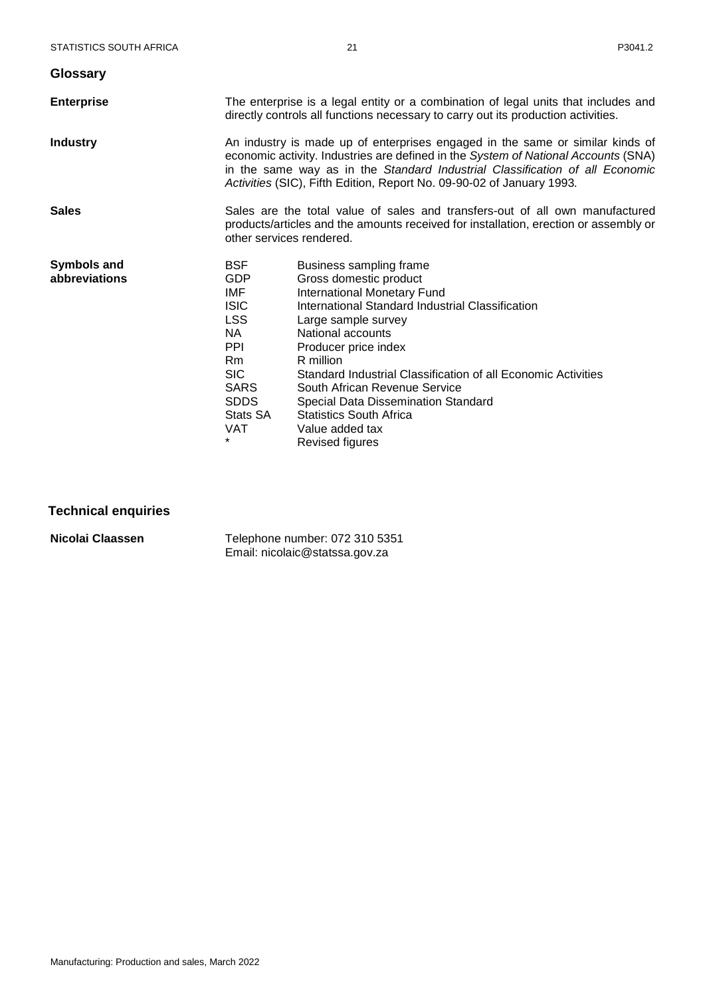<span id="page-21-0"></span>

| <b>Glossary</b>                     |                                                                                                                                                                                                                                                                                                                              |                                                                                                                                                                                                                                                                                                                                                                                                                                               |  |
|-------------------------------------|------------------------------------------------------------------------------------------------------------------------------------------------------------------------------------------------------------------------------------------------------------------------------------------------------------------------------|-----------------------------------------------------------------------------------------------------------------------------------------------------------------------------------------------------------------------------------------------------------------------------------------------------------------------------------------------------------------------------------------------------------------------------------------------|--|
| <b>Enterprise</b>                   | The enterprise is a legal entity or a combination of legal units that includes and<br>directly controls all functions necessary to carry out its production activities.                                                                                                                                                      |                                                                                                                                                                                                                                                                                                                                                                                                                                               |  |
| <b>Industry</b>                     | An industry is made up of enterprises engaged in the same or similar kinds of<br>economic activity. Industries are defined in the System of National Accounts (SNA)<br>in the same way as in the Standard Industrial Classification of all Economic<br>Activities (SIC), Fifth Edition, Report No. 09-90-02 of January 1993. |                                                                                                                                                                                                                                                                                                                                                                                                                                               |  |
| <b>Sales</b>                        | Sales are the total value of sales and transfers-out of all own manufactured<br>products/articles and the amounts received for installation, erection or assembly or<br>other services rendered.                                                                                                                             |                                                                                                                                                                                                                                                                                                                                                                                                                                               |  |
| <b>Symbols and</b><br>abbreviations | <b>BSF</b><br><b>GDP</b><br>IMF<br><b>ISIC</b><br><b>LSS</b><br>NA.<br><b>PPI</b><br>Rm<br><b>SIC</b><br><b>SARS</b><br><b>SDDS</b><br>Stats SA<br><b>VAT</b><br>$\star$                                                                                                                                                     | Business sampling frame<br>Gross domestic product<br><b>International Monetary Fund</b><br>International Standard Industrial Classification<br>Large sample survey<br>National accounts<br>Producer price index<br>R million<br>Standard Industrial Classification of all Economic Activities<br>South African Revenue Service<br>Special Data Dissemination Standard<br><b>Statistics South Africa</b><br>Value added tax<br>Revised figures |  |

# <span id="page-21-1"></span>**Technical enquiries**

**Nicolai Claassen** Telephone number: 072 310 5351 Email: nicolaic@statssa.gov.za